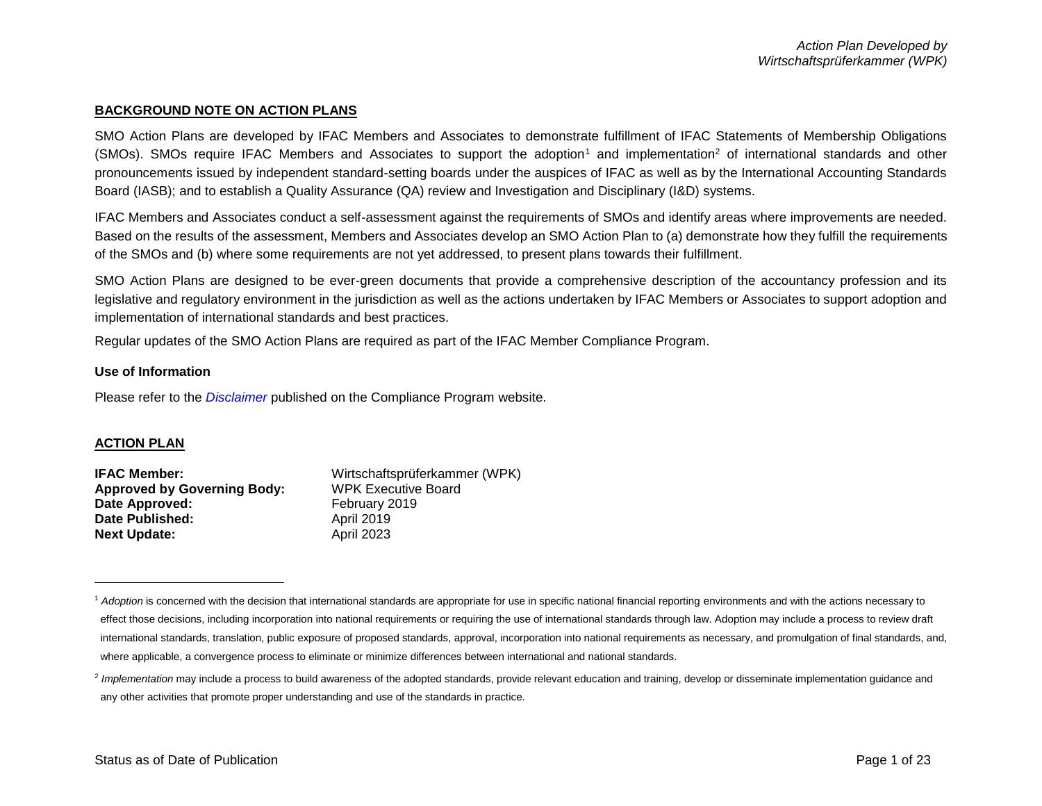# **BACKGROUND NOTE ON ACTION PLANS**

SMO Action Plans are developed by IFAC Members and Associates to demonstrate fulfillment of IFAC Statements of Membership Obligations  $(SMOs)$ . SMOs require IFAC Members and Associates to support the adoption<sup>1</sup> and implementation<sup>2</sup> of international standards and other pronouncements issued by independent standard-setting boards under the auspices of IFAC as well as by the International Accounting Standards Board (IASB); and to establish a Quality Assurance (QA) review and Investigation and Disciplinary (I&D) systems.

IFAC Members and Associates conduct a self-assessment against the requirements of SMOs and identify areas where improvements are needed. Based on the results of the assessment, Members and Associates develop an SMO Action Plan to (a) demonstrate how they fulfill the requirements of the SMOs and (b) where some requirements are not yet addressed, to present plans towards their fulfillment.

SMO Action Plans are designed to be ever-green documents that provide a comprehensive description of the accountancy profession and its legislative and regulatory environment in the jurisdiction as well as the actions undertaken by IFAC Members or Associates to support adoption and implementation of international standards and best practices.

Regular updates of the SMO Action Plans are required as part of the IFAC Member Compliance Program.

#### **Use of Information**

Please refer to the *[Disclaimer](http://www.ifac.org/about-ifac/membership/members/disclaimer)* published on the Compliance Program website.

#### **ACTION PLAN**

 $\overline{a}$ 

| Wirtschaftsprüferkammer (WPK) |
|-------------------------------|
| <b>WPK Executive Board</b>    |
| February 2019                 |
| <b>April 2019</b>             |
| <b>April 2023</b>             |
|                               |

<sup>&</sup>lt;sup>1</sup> Adoption is concerned with the decision that international standards are appropriate for use in specific national financial reporting environments and with the actions necessary to effect those decisions, including incorporation into national requirements or requiring the use of international standards through law. Adoption may include a process to review draft international standards, translation, public exposure of proposed standards, approval, incorporation into national requirements as necessary, and promulgation of final standards, and, where applicable, a convergence process to eliminate or minimize differences between international and national standards.

<sup>&</sup>lt;sup>2</sup> Implementation may include a process to build awareness of the adopted standards, provide relevant education and training, develop or disseminate implementation guidance and any other activities that promote proper understanding and use of the standards in practice.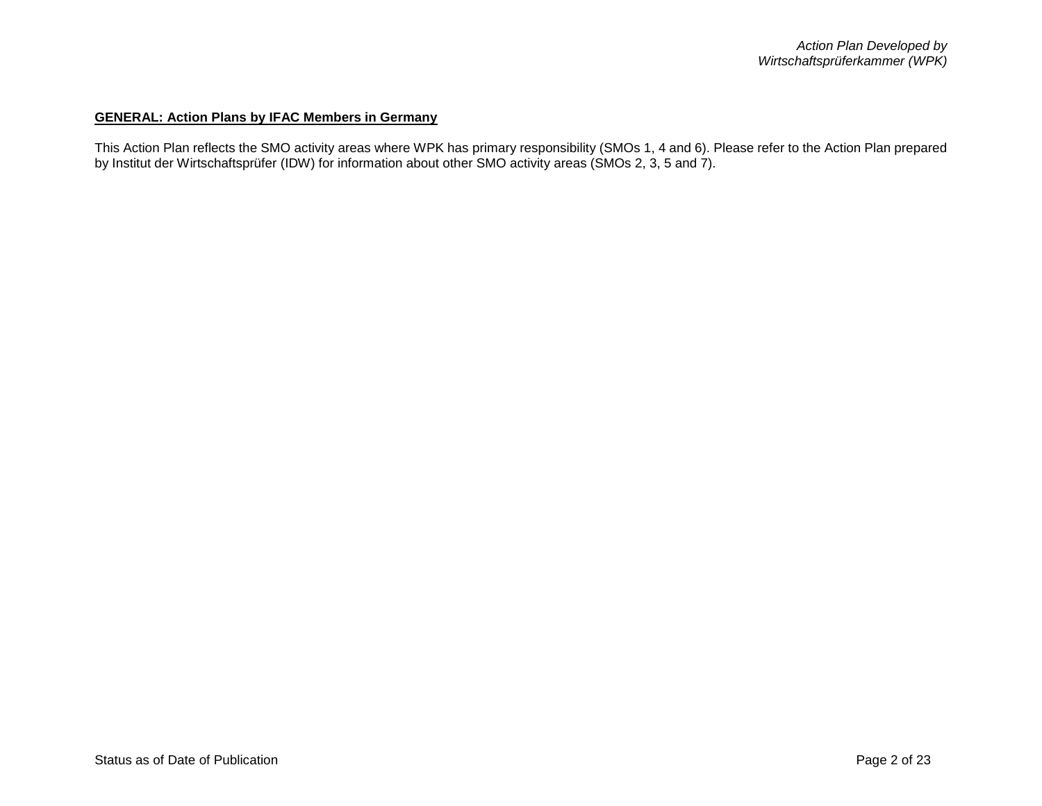# **GENERAL: Action Plans by IFAC Members in Germany**

This Action Plan reflects the SMO activity areas where WPK has primary responsibility (SMOs 1, 4 and 6). Please refer to the Action Plan prepared by Institut der Wirtschaftsprüfer (IDW) for information about other SMO activity areas (SMOs 2, 3, 5 and 7).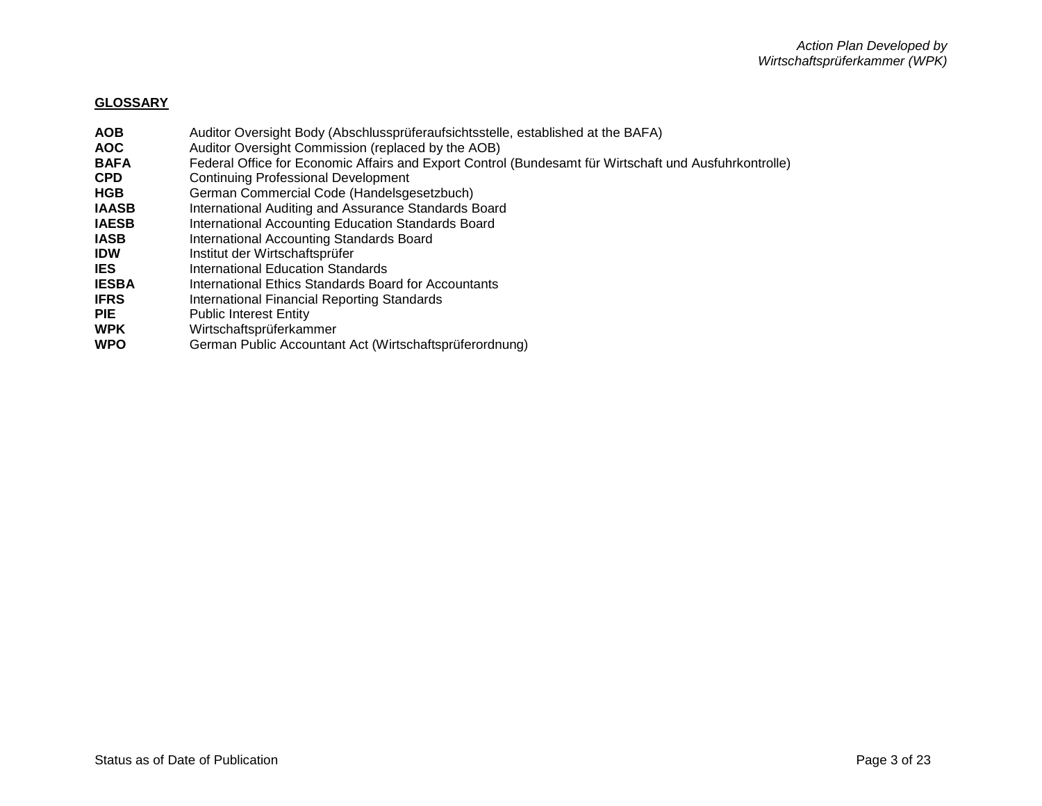### **GLOSSARY**

- **AOB** Auditor Oversight Body (Abschlussprüferaufsichtsstelle, established at the BAFA) **AOC** Auditor Oversight Commission (replaced by the AOB) **BAFA** Federal Office for Economic Affairs and Export Control (Bundesamt für Wirtschaft und Ausfuhrkontrolle) **CPD** Continuing Professional Development **HGB** German Commercial Code (Handelsgesetzbuch) **IAASB** International Auditing and Assurance Standards Board<br> **IAESB** International Accounting Education Standards Board **International Accounting Education Standards Board**
- **IASB** International Accounting Standards Board
- **IDW** Institut der Wirtschaftsprüfer<br> **IES** International Education Stand
- **International Education Standards**
- **IESBA** International Ethics Standards Board for Accountants
- **IFRS** International Financial Reporting Standards
- **PIE** Public Interest Entity
- **WPK** Wirtschaftsprüferkammer
- **WPO** German Public Accountant Act (Wirtschaftsprüferordnung)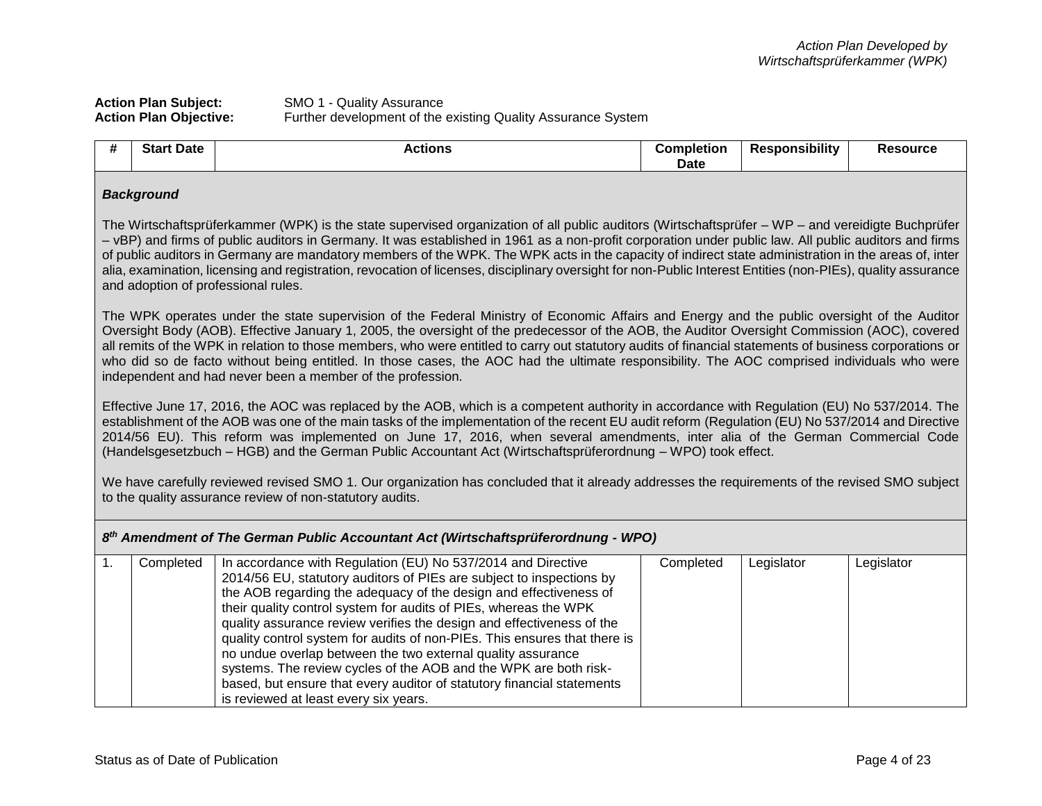| <b>Action Plan Subject:</b>   | SMO 1 - Quality Assurance                                    |
|-------------------------------|--------------------------------------------------------------|
| <b>Action Plan Objective:</b> | Further development of the existing Quality Assurance System |

no undue overlap between the two external quality assurance systems. The review cycles of the AOB and the WPK are both riskbased, but ensure that every auditor of statutory financial statements

is reviewed at least every six years.

| #                                                                                                                                                                                                                                                                                                                                                                                                                                                                                                                                                                                                                                                                          | <b>Start Date</b><br><b>Actions</b>                                                                                                                                                                                                                                                                                                                                                                                                                                                                                                               |                                                                                                                                                                                                                                                                                                                                                                                                                                                                                                                                                                                                                                                                      | <b>Completion</b><br><b>Date</b> | <b>Responsibility</b> | <b>Resource</b> |  |
|----------------------------------------------------------------------------------------------------------------------------------------------------------------------------------------------------------------------------------------------------------------------------------------------------------------------------------------------------------------------------------------------------------------------------------------------------------------------------------------------------------------------------------------------------------------------------------------------------------------------------------------------------------------------------|---------------------------------------------------------------------------------------------------------------------------------------------------------------------------------------------------------------------------------------------------------------------------------------------------------------------------------------------------------------------------------------------------------------------------------------------------------------------------------------------------------------------------------------------------|----------------------------------------------------------------------------------------------------------------------------------------------------------------------------------------------------------------------------------------------------------------------------------------------------------------------------------------------------------------------------------------------------------------------------------------------------------------------------------------------------------------------------------------------------------------------------------------------------------------------------------------------------------------------|----------------------------------|-----------------------|-----------------|--|
| <b>Background</b>                                                                                                                                                                                                                                                                                                                                                                                                                                                                                                                                                                                                                                                          |                                                                                                                                                                                                                                                                                                                                                                                                                                                                                                                                                   |                                                                                                                                                                                                                                                                                                                                                                                                                                                                                                                                                                                                                                                                      |                                  |                       |                 |  |
| The Wirtschaftsprüferkammer (WPK) is the state supervised organization of all public auditors (Wirtschaftsprüfer – WP – and vereidigte Buchprüfer<br>- vBP) and firms of public auditors in Germany. It was established in 1961 as a non-profit corporation under public law. All public auditors and firms<br>of public auditors in Germany are mandatory members of the WPK. The WPK acts in the capacity of indirect state administration in the areas of, inter<br>alia, examination, licensing and registration, revocation of licenses, disciplinary oversight for non-Public Interest Entities (non-PIEs), quality assurance<br>and adoption of professional rules. |                                                                                                                                                                                                                                                                                                                                                                                                                                                                                                                                                   |                                                                                                                                                                                                                                                                                                                                                                                                                                                                                                                                                                                                                                                                      |                                  |                       |                 |  |
|                                                                                                                                                                                                                                                                                                                                                                                                                                                                                                                                                                                                                                                                            |                                                                                                                                                                                                                                                                                                                                                                                                                                                                                                                                                   | The WPK operates under the state supervision of the Federal Ministry of Economic Affairs and Energy and the public oversight of the Auditor<br>Oversight Body (AOB). Effective January 1, 2005, the oversight of the predecessor of the AOB, the Auditor Oversight Commission (AOC), covered<br>all remits of the WPK in relation to those members, who were entitled to carry out statutory audits of financial statements of business corporations or<br>who did so de facto without being entitled. In those cases, the AOC had the ultimate responsibility. The AOC comprised individuals who were<br>independent and had never been a member of the profession. |                                  |                       |                 |  |
|                                                                                                                                                                                                                                                                                                                                                                                                                                                                                                                                                                                                                                                                            | Effective June 17, 2016, the AOC was replaced by the AOB, which is a competent authority in accordance with Regulation (EU) No 537/2014. The<br>establishment of the AOB was one of the main tasks of the implementation of the recent EU audit reform (Regulation (EU) No 537/2014 and Directive<br>2014/56 EU). This reform was implemented on June 17, 2016, when several amendments, inter alia of the German Commercial Code<br>(Handelsgesetzbuch - HGB) and the German Public Accountant Act (Wirtschaftsprüferordnung - WPO) took effect. |                                                                                                                                                                                                                                                                                                                                                                                                                                                                                                                                                                                                                                                                      |                                  |                       |                 |  |
|                                                                                                                                                                                                                                                                                                                                                                                                                                                                                                                                                                                                                                                                            | We have carefully reviewed revised SMO 1. Our organization has concluded that it already addresses the requirements of the revised SMO subject<br>to the quality assurance review of non-statutory audits.                                                                                                                                                                                                                                                                                                                                        |                                                                                                                                                                                                                                                                                                                                                                                                                                                                                                                                                                                                                                                                      |                                  |                       |                 |  |
| 8th Amendment of The German Public Accountant Act (Wirtschaftsprüferordnung - WPO)                                                                                                                                                                                                                                                                                                                                                                                                                                                                                                                                                                                         |                                                                                                                                                                                                                                                                                                                                                                                                                                                                                                                                                   |                                                                                                                                                                                                                                                                                                                                                                                                                                                                                                                                                                                                                                                                      |                                  |                       |                 |  |
| 1.                                                                                                                                                                                                                                                                                                                                                                                                                                                                                                                                                                                                                                                                         | Completed                                                                                                                                                                                                                                                                                                                                                                                                                                                                                                                                         | In accordance with Regulation (EU) No 537/2014 and Directive<br>2014/56 EU, statutory auditors of PIEs are subject to inspections by<br>the AOB regarding the adequacy of the design and effectiveness of<br>their quality control system for audits of PIEs, whereas the WPK<br>quality assurance review verifies the design and effectiveness of the<br>quality control system for audits of non-PIEs. This ensures that there is                                                                                                                                                                                                                                  | Completed                        | Legislator            | Legislator      |  |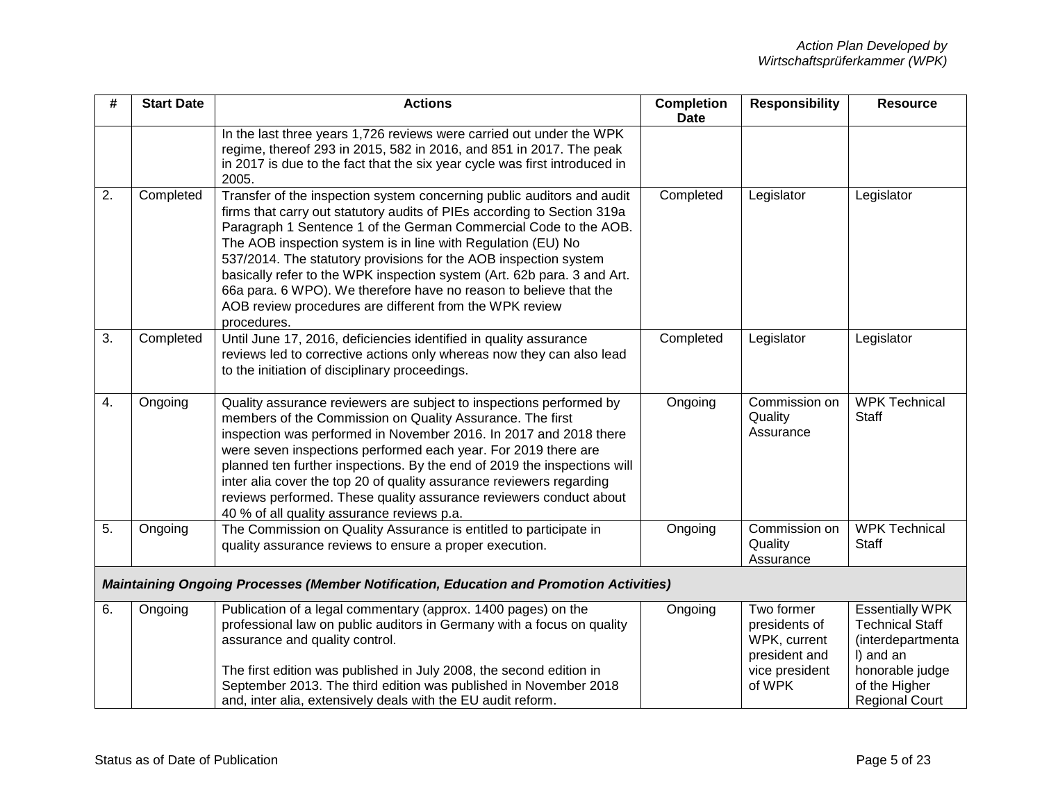| #  | <b>Start Date</b> | <b>Actions</b>                                                                                                                                                                                                                                                                                                                                                                                                                                                                                                                                                                      | <b>Completion</b><br><b>Date</b> | <b>Responsibility</b>                                                                    | <b>Resource</b>                                                                                                                                 |
|----|-------------------|-------------------------------------------------------------------------------------------------------------------------------------------------------------------------------------------------------------------------------------------------------------------------------------------------------------------------------------------------------------------------------------------------------------------------------------------------------------------------------------------------------------------------------------------------------------------------------------|----------------------------------|------------------------------------------------------------------------------------------|-------------------------------------------------------------------------------------------------------------------------------------------------|
|    |                   | In the last three years 1,726 reviews were carried out under the WPK<br>regime, thereof 293 in 2015, 582 in 2016, and 851 in 2017. The peak<br>in 2017 is due to the fact that the six year cycle was first introduced in<br>2005.                                                                                                                                                                                                                                                                                                                                                  |                                  |                                                                                          |                                                                                                                                                 |
| 2. | Completed         | Transfer of the inspection system concerning public auditors and audit<br>firms that carry out statutory audits of PIEs according to Section 319a<br>Paragraph 1 Sentence 1 of the German Commercial Code to the AOB.<br>The AOB inspection system is in line with Regulation (EU) No<br>537/2014. The statutory provisions for the AOB inspection system<br>basically refer to the WPK inspection system (Art. 62b para. 3 and Art.<br>66a para. 6 WPO). We therefore have no reason to believe that the<br>AOB review procedures are different from the WPK review<br>procedures. | Completed                        | Legislator                                                                               | Legislator                                                                                                                                      |
| 3. | Completed         | Until June 17, 2016, deficiencies identified in quality assurance<br>reviews led to corrective actions only whereas now they can also lead<br>to the initiation of disciplinary proceedings.                                                                                                                                                                                                                                                                                                                                                                                        | Completed                        | Legislator                                                                               | Legislator                                                                                                                                      |
| 4. | Ongoing           | Quality assurance reviewers are subject to inspections performed by<br>members of the Commission on Quality Assurance. The first<br>inspection was performed in November 2016. In 2017 and 2018 there<br>were seven inspections performed each year. For 2019 there are<br>planned ten further inspections. By the end of 2019 the inspections will<br>inter alia cover the top 20 of quality assurance reviewers regarding<br>reviews performed. These quality assurance reviewers conduct about<br>40 % of all quality assurance reviews p.a.                                     | Ongoing                          | Commission on<br>Quality<br>Assurance                                                    | <b>WPK Technical</b><br>Staff                                                                                                                   |
| 5. | Ongoing           | The Commission on Quality Assurance is entitled to participate in<br>quality assurance reviews to ensure a proper execution.                                                                                                                                                                                                                                                                                                                                                                                                                                                        | Ongoing                          | Commission on<br>Quality<br>Assurance                                                    | <b>WPK Technical</b><br>Staff                                                                                                                   |
|    |                   | <b>Maintaining Ongoing Processes (Member Notification, Education and Promotion Activities)</b>                                                                                                                                                                                                                                                                                                                                                                                                                                                                                      |                                  |                                                                                          |                                                                                                                                                 |
| 6. | Ongoing           | Publication of a legal commentary (approx. 1400 pages) on the<br>professional law on public auditors in Germany with a focus on quality<br>assurance and quality control.<br>The first edition was published in July 2008, the second edition in<br>September 2013. The third edition was published in November 2018<br>and, inter alia, extensively deals with the EU audit reform.                                                                                                                                                                                                | Ongoing                          | Two former<br>presidents of<br>WPK, current<br>president and<br>vice president<br>of WPK | <b>Essentially WPK</b><br><b>Technical Staff</b><br>(interdepartmenta<br>I) and an<br>honorable judge<br>of the Higher<br><b>Regional Court</b> |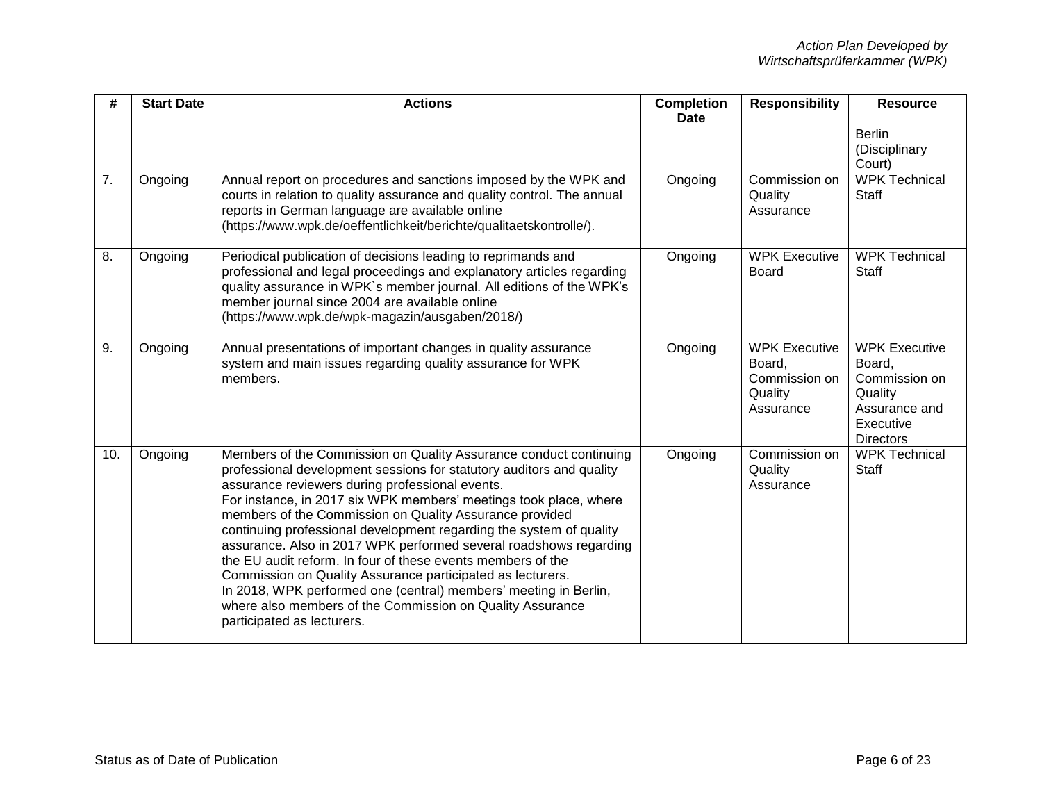| #   | <b>Start Date</b> | <b>Actions</b>                                                                                                                                                                                                                                                                                                                                                                                                                                                                                                                                                                                                                                                                                                                                                       | <b>Completion</b><br><b>Date</b> | <b>Responsibility</b>                                                   | <b>Resource</b>                                                                                              |
|-----|-------------------|----------------------------------------------------------------------------------------------------------------------------------------------------------------------------------------------------------------------------------------------------------------------------------------------------------------------------------------------------------------------------------------------------------------------------------------------------------------------------------------------------------------------------------------------------------------------------------------------------------------------------------------------------------------------------------------------------------------------------------------------------------------------|----------------------------------|-------------------------------------------------------------------------|--------------------------------------------------------------------------------------------------------------|
|     |                   |                                                                                                                                                                                                                                                                                                                                                                                                                                                                                                                                                                                                                                                                                                                                                                      |                                  |                                                                         | <b>Berlin</b><br>(Disciplinary<br>Court)                                                                     |
| 7.  | Ongoing           | Annual report on procedures and sanctions imposed by the WPK and<br>courts in relation to quality assurance and quality control. The annual<br>reports in German language are available online<br>(https://www.wpk.de/oeffentlichkeit/berichte/qualitaetskontrolle/).                                                                                                                                                                                                                                                                                                                                                                                                                                                                                                | Ongoing                          | Commission on<br>Quality<br>Assurance                                   | <b>WPK Technical</b><br><b>Staff</b>                                                                         |
| 8.  | Ongoing           | Periodical publication of decisions leading to reprimands and<br>professional and legal proceedings and explanatory articles regarding<br>quality assurance in WPK's member journal. All editions of the WPK's<br>member journal since 2004 are available online<br>(https://www.wpk.de/wpk-magazin/ausgaben/2018/)                                                                                                                                                                                                                                                                                                                                                                                                                                                  | Ongoing                          | <b>WPK Executive</b><br>Board                                           | <b>WPK Technical</b><br><b>Staff</b>                                                                         |
| 9.  | Ongoing           | Annual presentations of important changes in quality assurance<br>system and main issues regarding quality assurance for WPK<br>members.                                                                                                                                                                                                                                                                                                                                                                                                                                                                                                                                                                                                                             | Ongoing                          | <b>WPK Executive</b><br>Board,<br>Commission on<br>Quality<br>Assurance | <b>WPK Executive</b><br>Board,<br>Commission on<br>Quality<br>Assurance and<br>Executive<br><b>Directors</b> |
| 10. | Ongoing           | Members of the Commission on Quality Assurance conduct continuing<br>professional development sessions for statutory auditors and quality<br>assurance reviewers during professional events.<br>For instance, in 2017 six WPK members' meetings took place, where<br>members of the Commission on Quality Assurance provided<br>continuing professional development regarding the system of quality<br>assurance. Also in 2017 WPK performed several roadshows regarding<br>the EU audit reform. In four of these events members of the<br>Commission on Quality Assurance participated as lecturers.<br>In 2018, WPK performed one (central) members' meeting in Berlin,<br>where also members of the Commission on Quality Assurance<br>participated as lecturers. | Ongoing                          | Commission on<br>Quality<br>Assurance                                   | <b>WPK Technical</b><br><b>Staff</b>                                                                         |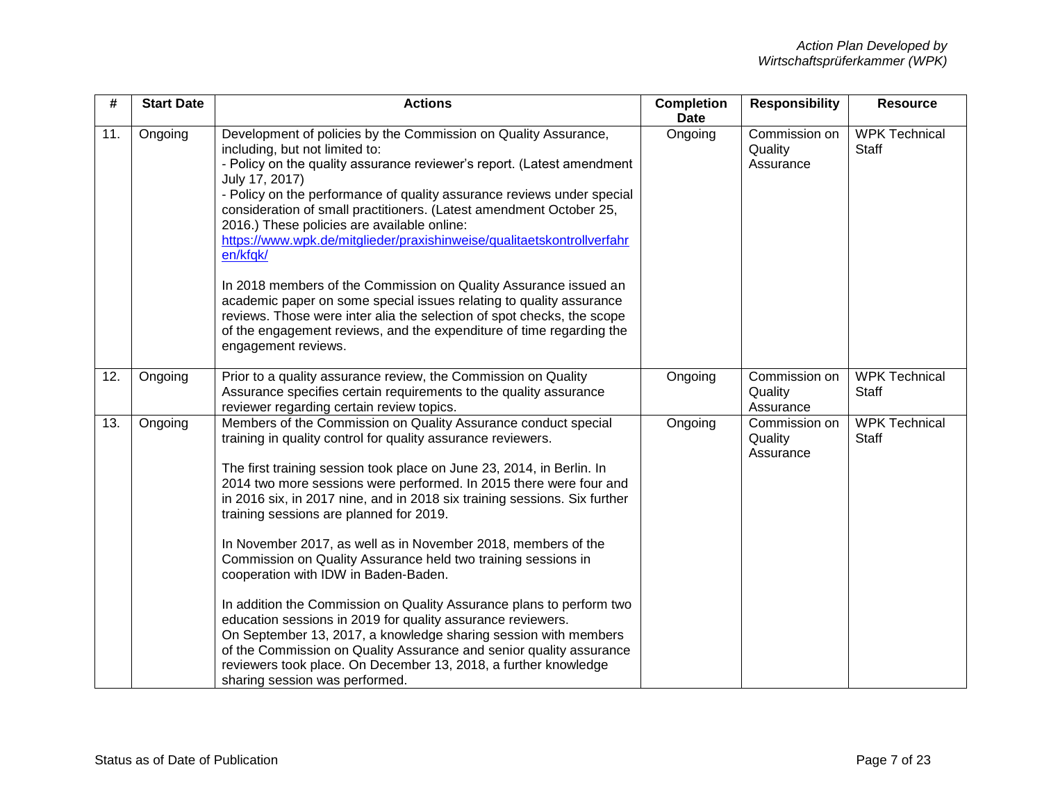| #   | <b>Start Date</b> | <b>Actions</b>                                                                                                                                                                                                                                                                                                                                                                                                                                                                                                                                                                                                                                                                                                                                                                                                                                                                                                                                                        | <b>Completion</b><br><b>Date</b> | <b>Responsibility</b>                 | <b>Resource</b>                      |
|-----|-------------------|-----------------------------------------------------------------------------------------------------------------------------------------------------------------------------------------------------------------------------------------------------------------------------------------------------------------------------------------------------------------------------------------------------------------------------------------------------------------------------------------------------------------------------------------------------------------------------------------------------------------------------------------------------------------------------------------------------------------------------------------------------------------------------------------------------------------------------------------------------------------------------------------------------------------------------------------------------------------------|----------------------------------|---------------------------------------|--------------------------------------|
| 11. | Ongoing           | Development of policies by the Commission on Quality Assurance,<br>including, but not limited to:<br>- Policy on the quality assurance reviewer's report. (Latest amendment<br>July 17, 2017)<br>- Policy on the performance of quality assurance reviews under special<br>consideration of small practitioners. (Latest amendment October 25,<br>2016.) These policies are available online:<br>https://www.wpk.de/mitglieder/praxishinweise/qualitaetskontrollverfahr<br>en/kfgk/<br>In 2018 members of the Commission on Quality Assurance issued an<br>academic paper on some special issues relating to quality assurance<br>reviews. Those were inter alia the selection of spot checks, the scope<br>of the engagement reviews, and the expenditure of time regarding the<br>engagement reviews.                                                                                                                                                               | Ongoing                          | Commission on<br>Quality<br>Assurance | <b>WPK Technical</b><br><b>Staff</b> |
| 12. | Ongoing           | Prior to a quality assurance review, the Commission on Quality<br>Assurance specifies certain requirements to the quality assurance<br>reviewer regarding certain review topics.                                                                                                                                                                                                                                                                                                                                                                                                                                                                                                                                                                                                                                                                                                                                                                                      | Ongoing                          | Commission on<br>Quality<br>Assurance | <b>WPK Technical</b><br><b>Staff</b> |
| 13. | Ongoing           | Members of the Commission on Quality Assurance conduct special<br>training in quality control for quality assurance reviewers.<br>The first training session took place on June 23, 2014, in Berlin. In<br>2014 two more sessions were performed. In 2015 there were four and<br>in 2016 six, in 2017 nine, and in 2018 six training sessions. Six further<br>training sessions are planned for 2019.<br>In November 2017, as well as in November 2018, members of the<br>Commission on Quality Assurance held two training sessions in<br>cooperation with IDW in Baden-Baden.<br>In addition the Commission on Quality Assurance plans to perform two<br>education sessions in 2019 for quality assurance reviewers.<br>On September 13, 2017, a knowledge sharing session with members<br>of the Commission on Quality Assurance and senior quality assurance<br>reviewers took place. On December 13, 2018, a further knowledge<br>sharing session was performed. | Ongoing                          | Commission on<br>Quality<br>Assurance | <b>WPK Technical</b><br><b>Staff</b> |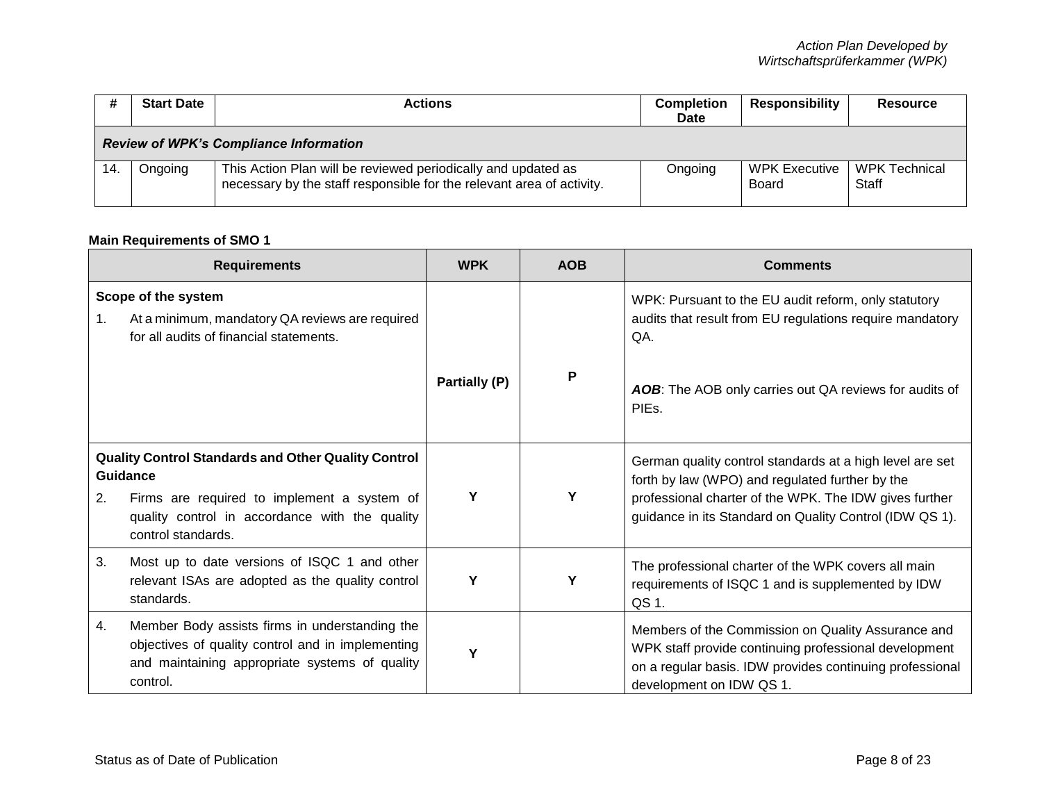|     | <b>Start Date</b>                             | Actions                                                                                                                                | Completion<br><b>Date</b> | <b>Responsibility</b>         | <b>Resource</b>        |  |  |
|-----|-----------------------------------------------|----------------------------------------------------------------------------------------------------------------------------------------|---------------------------|-------------------------------|------------------------|--|--|
|     | <b>Review of WPK's Compliance Information</b> |                                                                                                                                        |                           |                               |                        |  |  |
| 14. | Ongoing                                       | This Action Plan will be reviewed periodically and updated as<br>necessary by the staff responsible for the relevant area of activity. | Ongoing                   | <b>WPK Executive</b><br>Board | WPK Technical<br>Staff |  |  |

# **Main Requirements of SMO 1**

| <b>Requirements</b>                                                                                                                                                                                 |                                                                                                                                                                   | <b>WPK</b>    | <b>AOB</b> | <b>Comments</b>                                                                                                                                                                                                                  |
|-----------------------------------------------------------------------------------------------------------------------------------------------------------------------------------------------------|-------------------------------------------------------------------------------------------------------------------------------------------------------------------|---------------|------------|----------------------------------------------------------------------------------------------------------------------------------------------------------------------------------------------------------------------------------|
| 1.                                                                                                                                                                                                  | Scope of the system<br>At a minimum, mandatory QA reviews are required<br>for all audits of financial statements.                                                 |               |            | WPK: Pursuant to the EU audit reform, only statutory<br>audits that result from EU regulations require mandatory<br>QA.                                                                                                          |
|                                                                                                                                                                                                     |                                                                                                                                                                   | Partially (P) | P          | AOB: The AOB only carries out QA reviews for audits of<br>PIE <sub>s</sub>                                                                                                                                                       |
| <b>Quality Control Standards and Other Quality Control</b><br>Guidance<br>Firms are required to implement a system of<br>2.<br>quality control in accordance with the quality<br>control standards. |                                                                                                                                                                   | Υ             | Υ          | German quality control standards at a high level are set<br>forth by law (WPO) and regulated further by the<br>professional charter of the WPK. The IDW gives further<br>guidance in its Standard on Quality Control (IDW QS 1). |
| 3.                                                                                                                                                                                                  | Most up to date versions of ISQC 1 and other<br>relevant ISAs are adopted as the quality control<br>standards.                                                    | Υ             | Υ          | The professional charter of the WPK covers all main<br>requirements of ISQC 1 and is supplemented by IDW<br>QS 1.                                                                                                                |
| 4.                                                                                                                                                                                                  | Member Body assists firms in understanding the<br>objectives of quality control and in implementing<br>and maintaining appropriate systems of quality<br>control. | Υ             |            | Members of the Commission on Quality Assurance and<br>WPK staff provide continuing professional development<br>on a regular basis. IDW provides continuing professional<br>development on IDW QS 1.                              |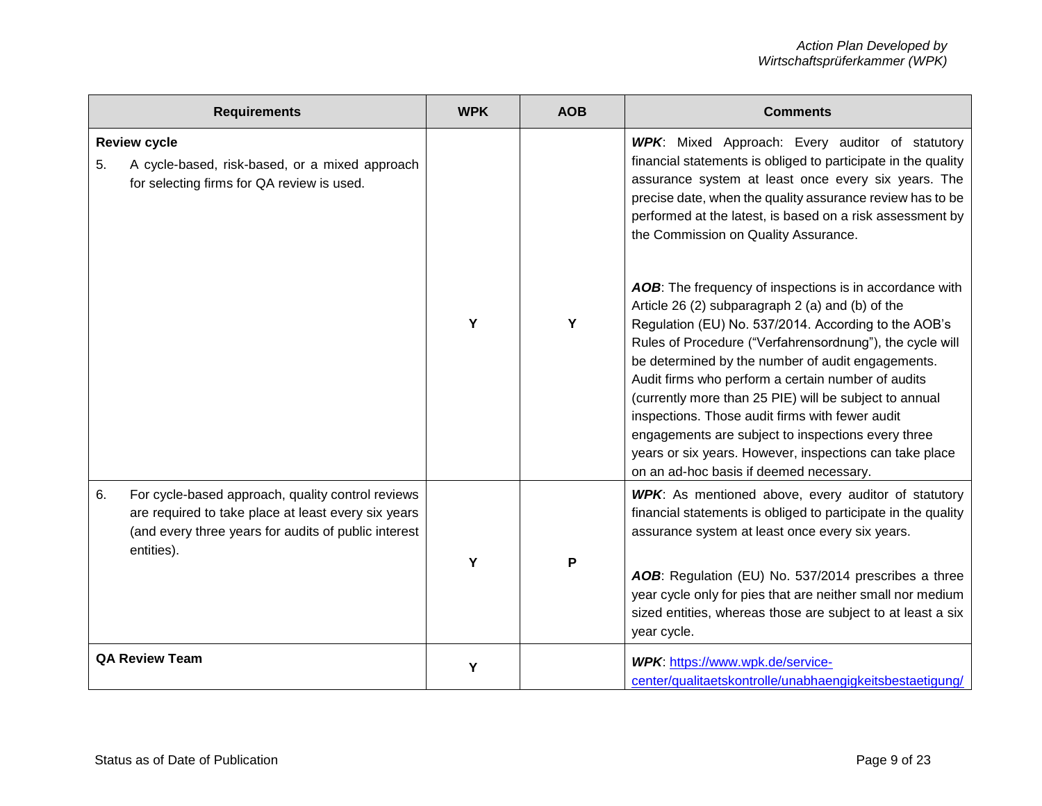|    | <b>Requirements</b>                                                                                                                                                            | <b>WPK</b> | <b>AOB</b> | <b>Comments</b>                                                                                                                                                                                                                                                                                                                                                                                                                                                                                                                                                              |
|----|--------------------------------------------------------------------------------------------------------------------------------------------------------------------------------|------------|------------|------------------------------------------------------------------------------------------------------------------------------------------------------------------------------------------------------------------------------------------------------------------------------------------------------------------------------------------------------------------------------------------------------------------------------------------------------------------------------------------------------------------------------------------------------------------------------|
| 5. | <b>Review cycle</b><br>A cycle-based, risk-based, or a mixed approach<br>for selecting firms for QA review is used.                                                            | Y          | Y          | WPK: Mixed Approach: Every auditor of statutory<br>financial statements is obliged to participate in the quality<br>assurance system at least once every six years. The<br>precise date, when the quality assurance review has to be<br>performed at the latest, is based on a risk assessment by<br>the Commission on Quality Assurance.<br>AOB: The frequency of inspections is in accordance with<br>Article 26 (2) subparagraph 2 (a) and (b) of the<br>Regulation (EU) No. 537/2014. According to the AOB's<br>Rules of Procedure ("Verfahrensordnung"), the cycle will |
|    |                                                                                                                                                                                |            |            | be determined by the number of audit engagements.<br>Audit firms who perform a certain number of audits<br>(currently more than 25 PIE) will be subject to annual<br>inspections. Those audit firms with fewer audit<br>engagements are subject to inspections every three<br>years or six years. However, inspections can take place<br>on an ad-hoc basis if deemed necessary.                                                                                                                                                                                             |
| 6. | For cycle-based approach, quality control reviews<br>are required to take place at least every six years<br>(and every three years for audits of public interest<br>entities). |            |            | WPK: As mentioned above, every auditor of statutory<br>financial statements is obliged to participate in the quality<br>assurance system at least once every six years.                                                                                                                                                                                                                                                                                                                                                                                                      |
|    |                                                                                                                                                                                | Y          | P          | AOB: Regulation (EU) No. 537/2014 prescribes a three<br>year cycle only for pies that are neither small nor medium<br>sized entities, whereas those are subject to at least a six<br>year cycle.                                                                                                                                                                                                                                                                                                                                                                             |
|    | <b>QA Review Team</b>                                                                                                                                                          | Y          |            | WPK: https://www.wpk.de/service-<br>center/qualitaetskontrolle/unabhaengigkeitsbestaetigung/                                                                                                                                                                                                                                                                                                                                                                                                                                                                                 |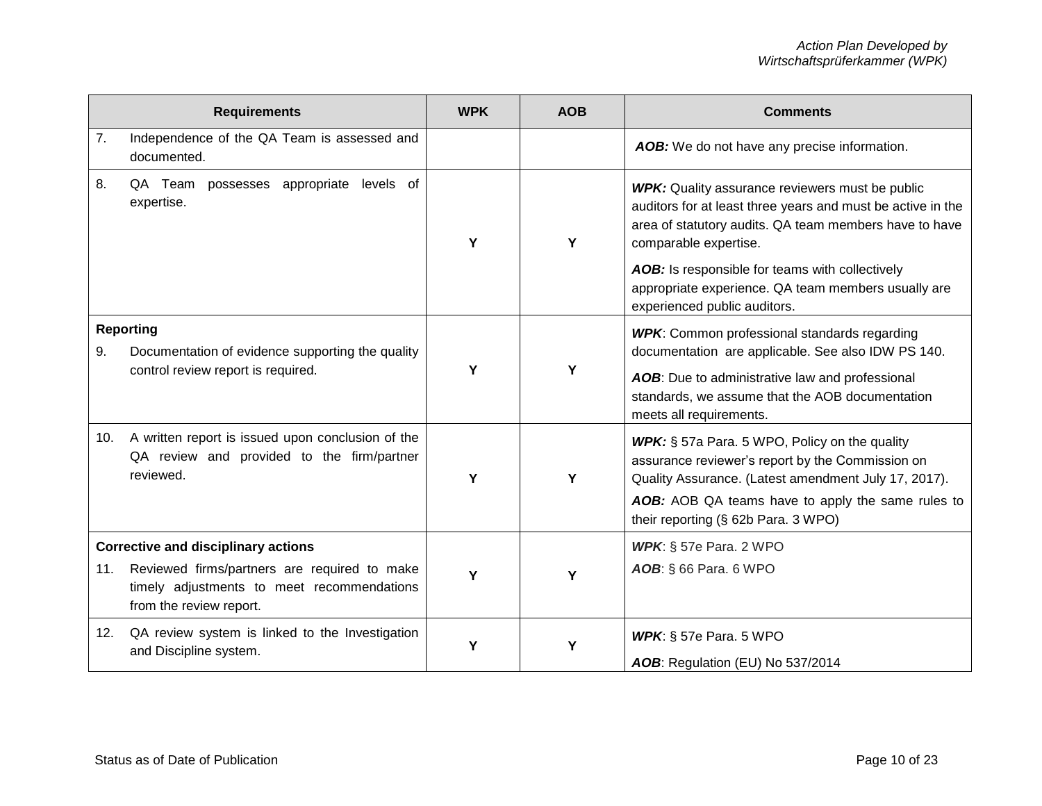|                                            | <b>Requirements</b>                                                                                                   | <b>WPK</b> | <b>AOB</b> | <b>Comments</b>                                                                                                                                                                                          |
|--------------------------------------------|-----------------------------------------------------------------------------------------------------------------------|------------|------------|----------------------------------------------------------------------------------------------------------------------------------------------------------------------------------------------------------|
| 7.                                         | Independence of the QA Team is assessed and<br>documented.                                                            |            |            | AOB: We do not have any precise information.                                                                                                                                                             |
| 8.                                         | QA Team possesses appropriate levels of<br>expertise.                                                                 | Y          | Υ          | <b>WPK:</b> Quality assurance reviewers must be public<br>auditors for at least three years and must be active in the<br>area of statutory audits. QA team members have to have<br>comparable expertise. |
|                                            |                                                                                                                       |            |            | AOB: Is responsible for teams with collectively<br>appropriate experience. QA team members usually are<br>experienced public auditors.                                                                   |
| 9.                                         | <b>Reporting</b><br>Documentation of evidence supporting the quality                                                  |            |            | <b>WPK:</b> Common professional standards regarding<br>documentation are applicable. See also IDW PS 140.                                                                                                |
|                                            | control review report is required.                                                                                    | Y<br>Y     |            | AOB: Due to administrative law and professional<br>standards, we assume that the AOB documentation<br>meets all requirements.                                                                            |
| 10.                                        | A written report is issued upon conclusion of the<br>QA review and provided to the firm/partner<br>reviewed.          | Y          | Y          | WPK: § 57a Para. 5 WPO, Policy on the quality<br>assurance reviewer's report by the Commission on<br>Quality Assurance. (Latest amendment July 17, 2017).                                                |
|                                            |                                                                                                                       |            |            | AOB: AOB QA teams have to apply the same rules to<br>their reporting (§ 62b Para. 3 WPO)                                                                                                                 |
| <b>Corrective and disciplinary actions</b> |                                                                                                                       |            |            | <b>WPK:</b> $\S$ 57e Para. 2 WPO                                                                                                                                                                         |
| 11.                                        | Reviewed firms/partners are required to make<br>timely adjustments to meet recommendations<br>from the review report. | Y          | Y          | AOB: § 66 Para. 6 WPO                                                                                                                                                                                    |
| 12.                                        | QA review system is linked to the Investigation<br>and Discipline system.                                             | Y          | Υ          | <b>WPK:</b> $\S$ 57e Para. 5 WPO<br>AOB: Regulation (EU) No 537/2014                                                                                                                                     |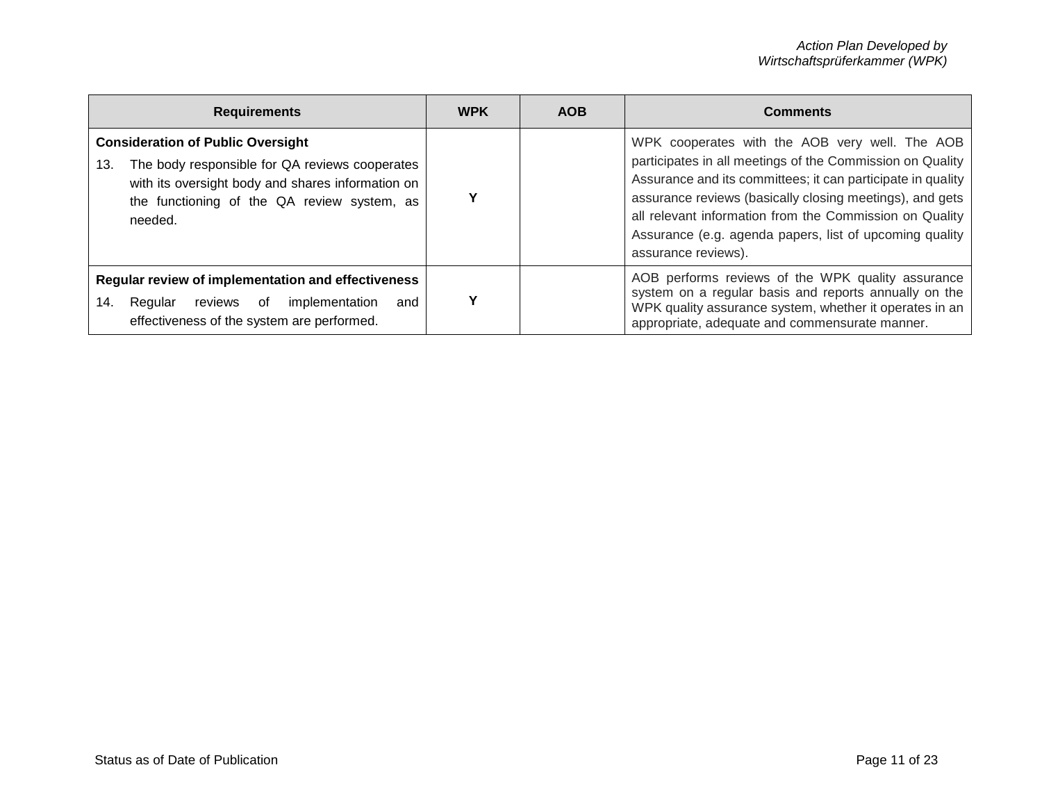| <b>Requirements</b>                                                                                                                                                                                              | <b>WPK</b> | <b>AOB</b> | <b>Comments</b>                                                                                                                                                                                                                                                                                                                                                                     |
|------------------------------------------------------------------------------------------------------------------------------------------------------------------------------------------------------------------|------------|------------|-------------------------------------------------------------------------------------------------------------------------------------------------------------------------------------------------------------------------------------------------------------------------------------------------------------------------------------------------------------------------------------|
| <b>Consideration of Public Oversight</b><br>The body responsible for QA reviews cooperates<br>13.<br>with its oversight body and shares information on<br>the functioning of the QA review system, as<br>needed. |            |            | WPK cooperates with the AOB very well. The AOB<br>participates in all meetings of the Commission on Quality<br>Assurance and its committees; it can participate in quality<br>assurance reviews (basically closing meetings), and gets<br>all relevant information from the Commission on Quality<br>Assurance (e.g. agenda papers, list of upcoming quality<br>assurance reviews). |
| Regular review of implementation and effectiveness<br>Regular reviews of<br>implementation<br>14.<br>and<br>effectiveness of the system are performed.                                                           | Υ          |            | AOB performs reviews of the WPK quality assurance<br>system on a regular basis and reports annually on the<br>WPK quality assurance system, whether it operates in an<br>appropriate, adequate and commensurate manner.                                                                                                                                                             |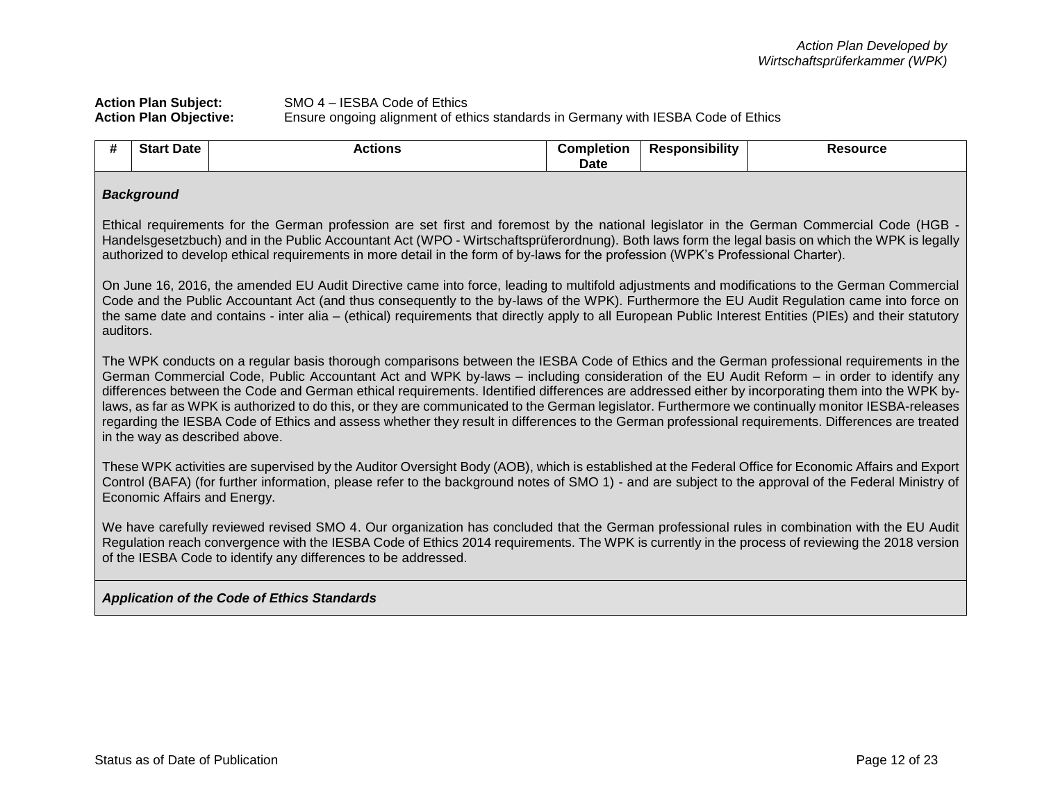## **Action Plan Subject:** SMO 4 – IESBA Code of Ethics **Action Plan Objective:** Ensure ongoing alignment of ethics standards in Germany with IESBA Code of Ethics

| <br><b>TT</b> | Star<br><b>Date</b> | ctions | ∴om<br>- - - - -<br>pletion<br>Date | .<br>`sıbılıtv<br>-20-<br>sno | source |
|---------------|---------------------|--------|-------------------------------------|-------------------------------|--------|
|---------------|---------------------|--------|-------------------------------------|-------------------------------|--------|

#### *Background*

Ethical requirements for the German profession are set first and foremost by the national legislator in the German Commercial Code (HGB - Handelsgesetzbuch) and in the Public Accountant Act (WPO - Wirtschaftsprüferordnung). Both laws form the legal basis on which the WPK is legally authorized to develop ethical requirements in more detail in the form of by-laws for the profession (WPK's Professional Charter).

On June 16, 2016, the amended EU Audit Directive came into force, leading to multifold adjustments and modifications to the German Commercial Code and the Public Accountant Act (and thus consequently to the by-laws of the WPK). Furthermore the EU Audit Regulation came into force on the same date and contains - inter alia – (ethical) requirements that directly apply to all European Public Interest Entities (PIEs) and their statutory auditors.

The WPK conducts on a regular basis thorough comparisons between the IESBA Code of Ethics and the German professional requirements in the German Commercial Code, Public Accountant Act and WPK by-laws – including consideration of the EU Audit Reform – in order to identify any differences between the Code and German ethical requirements. Identified differences are addressed either by incorporating them into the WPK bylaws, as far as WPK is authorized to do this, or they are communicated to the German legislator. Furthermore we continually monitor IESBA-releases regarding the IESBA Code of Ethics and assess whether they result in differences to the German professional requirements. Differences are treated in the way as described above.

These WPK activities are supervised by the Auditor Oversight Body (AOB), which is established at the Federal Office for Economic Affairs and Export Control (BAFA) (for further information, please refer to the background notes of SMO 1) - and are subject to the approval of the Federal Ministry of Economic Affairs and Energy.

We have carefully reviewed revised SMO 4. Our organization has concluded that the German professional rules in combination with the EU Audit Regulation reach convergence with the IESBA Code of Ethics 2014 requirements. The WPK is currently in the process of reviewing the 2018 version of the IESBA Code to identify any differences to be addressed.

#### *Application of the Code of Ethics Standards*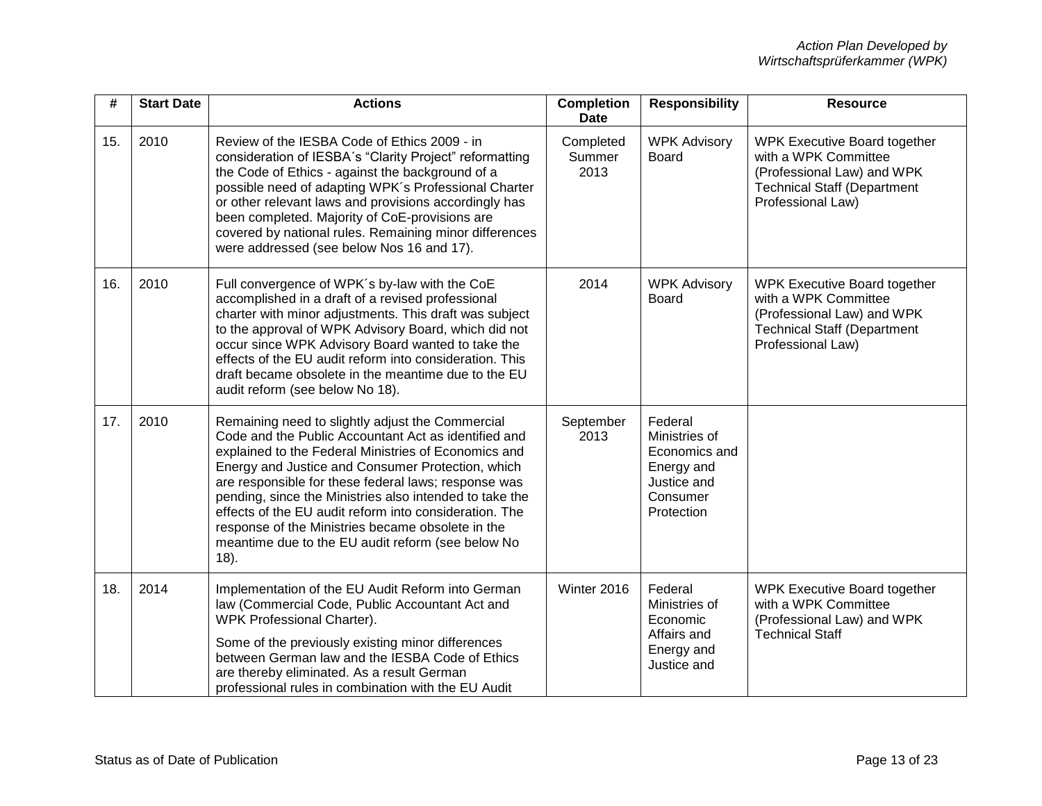| #   | <b>Start Date</b> | <b>Actions</b>                                                                                                                                                                                                                                                                                                                                                                                                                                                                                                       | <b>Completion</b><br><b>Date</b> | <b>Responsibility</b>                                                                            | <b>Resource</b>                                                                                                                                      |
|-----|-------------------|----------------------------------------------------------------------------------------------------------------------------------------------------------------------------------------------------------------------------------------------------------------------------------------------------------------------------------------------------------------------------------------------------------------------------------------------------------------------------------------------------------------------|----------------------------------|--------------------------------------------------------------------------------------------------|------------------------------------------------------------------------------------------------------------------------------------------------------|
| 15. | 2010              | Review of the IESBA Code of Ethics 2009 - in<br>consideration of IESBA's "Clarity Project" reformatting<br>the Code of Ethics - against the background of a<br>possible need of adapting WPK's Professional Charter<br>or other relevant laws and provisions accordingly has<br>been completed. Majority of CoE-provisions are<br>covered by national rules. Remaining minor differences<br>were addressed (see below Nos 16 and 17).                                                                                | Completed<br>Summer<br>2013      | <b>WPK Advisory</b><br>Board                                                                     | <b>WPK Executive Board together</b><br>with a WPK Committee<br>(Professional Law) and WPK<br><b>Technical Staff (Department</b><br>Professional Law) |
| 16. | 2010              | Full convergence of WPK's by-law with the CoE<br>accomplished in a draft of a revised professional<br>charter with minor adjustments. This draft was subject<br>to the approval of WPK Advisory Board, which did not<br>occur since WPK Advisory Board wanted to take the<br>effects of the EU audit reform into consideration. This<br>draft became obsolete in the meantime due to the EU<br>audit reform (see below No 18).                                                                                       | 2014                             | <b>WPK Advisory</b><br>Board                                                                     | <b>WPK Executive Board together</b><br>with a WPK Committee<br>(Professional Law) and WPK<br><b>Technical Staff (Department</b><br>Professional Law) |
| 17. | 2010              | Remaining need to slightly adjust the Commercial<br>Code and the Public Accountant Act as identified and<br>explained to the Federal Ministries of Economics and<br>Energy and Justice and Consumer Protection, which<br>are responsible for these federal laws; response was<br>pending, since the Ministries also intended to take the<br>effects of the EU audit reform into consideration. The<br>response of the Ministries became obsolete in the<br>meantime due to the EU audit reform (see below No<br>18). | September<br>2013                | Federal<br>Ministries of<br>Economics and<br>Energy and<br>Justice and<br>Consumer<br>Protection |                                                                                                                                                      |
| 18. | 2014              | Implementation of the EU Audit Reform into German<br>law (Commercial Code, Public Accountant Act and<br>WPK Professional Charter).<br>Some of the previously existing minor differences<br>between German law and the IESBA Code of Ethics<br>are thereby eliminated. As a result German<br>professional rules in combination with the EU Audit                                                                                                                                                                      | Winter 2016                      | Federal<br>Ministries of<br>Economic<br>Affairs and<br>Energy and<br>Justice and                 | <b>WPK Executive Board together</b><br>with a WPK Committee<br>(Professional Law) and WPK<br><b>Technical Staff</b>                                  |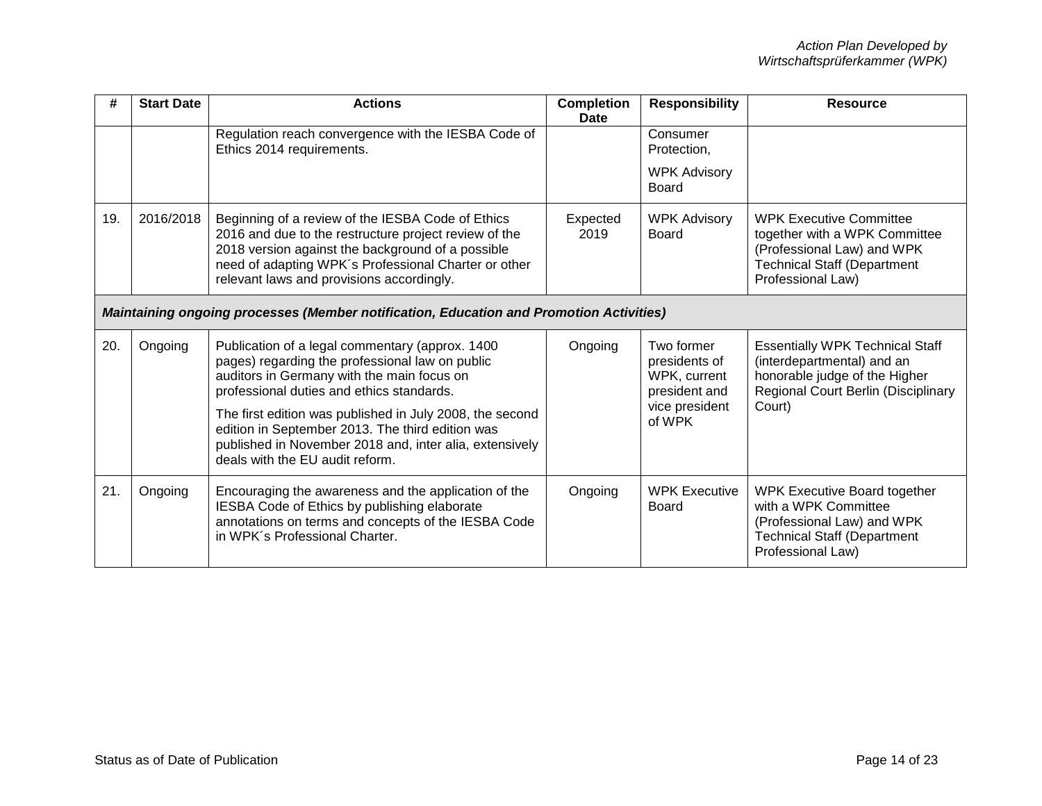| #   | <b>Start Date</b>                                                                       | <b>Actions</b>                                                                                                                                                                                                                                                                                                                                                                                              | <b>Completion</b><br>Date | <b>Responsibility</b>                                                                    | <b>Resource</b>                                                                                                                                               |  |
|-----|-----------------------------------------------------------------------------------------|-------------------------------------------------------------------------------------------------------------------------------------------------------------------------------------------------------------------------------------------------------------------------------------------------------------------------------------------------------------------------------------------------------------|---------------------------|------------------------------------------------------------------------------------------|---------------------------------------------------------------------------------------------------------------------------------------------------------------|--|
|     |                                                                                         | Regulation reach convergence with the IESBA Code of<br>Ethics 2014 requirements.                                                                                                                                                                                                                                                                                                                            |                           | Consumer<br>Protection.                                                                  |                                                                                                                                                               |  |
|     |                                                                                         |                                                                                                                                                                                                                                                                                                                                                                                                             |                           | <b>WPK Advisory</b><br><b>Board</b>                                                      |                                                                                                                                                               |  |
| 19. | 2016/2018                                                                               | Beginning of a review of the IESBA Code of Ethics<br>2016 and due to the restructure project review of the<br>2018 version against the background of a possible<br>need of adapting WPK's Professional Charter or other<br>relevant laws and provisions accordingly.                                                                                                                                        | Expected<br>2019          | <b>WPK Advisory</b><br>Board                                                             | <b>WPK Executive Committee</b><br>together with a WPK Committee<br>(Professional Law) and WPK<br><b>Technical Staff (Department</b><br>Professional Law)      |  |
|     | Maintaining ongoing processes (Member notification, Education and Promotion Activities) |                                                                                                                                                                                                                                                                                                                                                                                                             |                           |                                                                                          |                                                                                                                                                               |  |
| 20. | Ongoing                                                                                 | Publication of a legal commentary (approx. 1400<br>pages) regarding the professional law on public<br>auditors in Germany with the main focus on<br>professional duties and ethics standards.<br>The first edition was published in July 2008, the second<br>edition in September 2013. The third edition was<br>published in November 2018 and, inter alia, extensively<br>deals with the EU audit reform. | Ongoing                   | Two former<br>presidents of<br>WPK, current<br>president and<br>vice president<br>of WPK | <b>Essentially WPK Technical Staff</b><br>(interdepartmental) and an<br>honorable judge of the Higher<br><b>Regional Court Berlin (Disciplinary</b><br>Court) |  |
| 21. | Ongoing                                                                                 | Encouraging the awareness and the application of the<br>IESBA Code of Ethics by publishing elaborate<br>annotations on terms and concepts of the IESBA Code<br>in WPK's Professional Charter.                                                                                                                                                                                                               | Ongoing                   | <b>WPK Executive</b><br><b>Board</b>                                                     | <b>WPK Executive Board together</b><br>with a WPK Committee<br>(Professional Law) and WPK<br><b>Technical Staff (Department</b><br>Professional Law)          |  |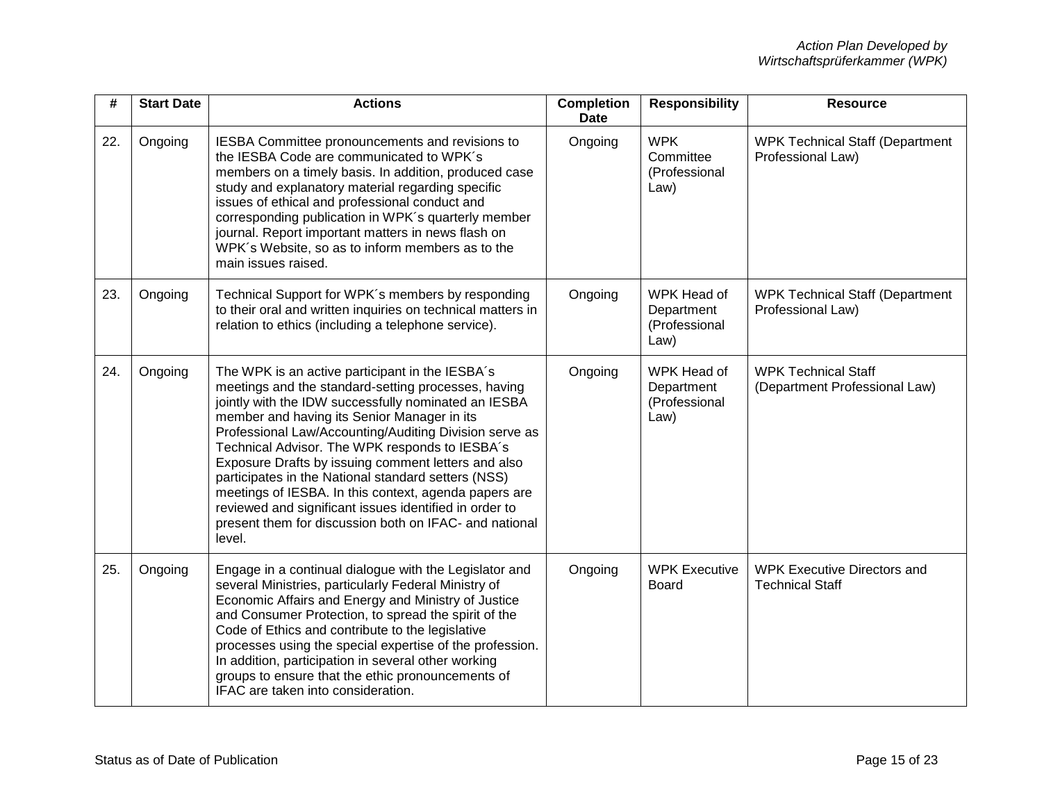| #   | <b>Start Date</b> | <b>Actions</b>                                                                                                                                                                                                                                                                                                                                                                                                                                                                                                                                                                                                                 | <b>Completion</b><br><b>Date</b> | <b>Responsibility</b>                              | <b>Resource</b>                                              |
|-----|-------------------|--------------------------------------------------------------------------------------------------------------------------------------------------------------------------------------------------------------------------------------------------------------------------------------------------------------------------------------------------------------------------------------------------------------------------------------------------------------------------------------------------------------------------------------------------------------------------------------------------------------------------------|----------------------------------|----------------------------------------------------|--------------------------------------------------------------|
| 22. | Ongoing           | IESBA Committee pronouncements and revisions to<br>the IESBA Code are communicated to WPK's<br>members on a timely basis. In addition, produced case<br>study and explanatory material regarding specific<br>issues of ethical and professional conduct and<br>corresponding publication in WPK's quarterly member<br>journal. Report important matters in news flash on<br>WPK's Website, so as to inform members as to the<br>main issues raised.                                                                                                                                                                            | Ongoing                          | <b>WPK</b><br>Committee<br>(Professional<br>Law)   | <b>WPK Technical Staff (Department</b><br>Professional Law)  |
| 23. | Ongoing           | Technical Support for WPK's members by responding<br>to their oral and written inquiries on technical matters in<br>relation to ethics (including a telephone service).                                                                                                                                                                                                                                                                                                                                                                                                                                                        | Ongoing                          | WPK Head of<br>Department<br>(Professional<br>Law) | <b>WPK Technical Staff (Department</b><br>Professional Law)  |
| 24. | Ongoing           | The WPK is an active participant in the IESBA's<br>meetings and the standard-setting processes, having<br>jointly with the IDW successfully nominated an IESBA<br>member and having its Senior Manager in its<br>Professional Law/Accounting/Auditing Division serve as<br>Technical Advisor. The WPK responds to IESBA's<br>Exposure Drafts by issuing comment letters and also<br>participates in the National standard setters (NSS)<br>meetings of IESBA. In this context, agenda papers are<br>reviewed and significant issues identified in order to<br>present them for discussion both on IFAC- and national<br>level. | Ongoing                          | WPK Head of<br>Department<br>(Professional<br>Law) | <b>WPK Technical Staff</b><br>(Department Professional Law)  |
| 25. | Ongoing           | Engage in a continual dialogue with the Legislator and<br>several Ministries, particularly Federal Ministry of<br>Economic Affairs and Energy and Ministry of Justice<br>and Consumer Protection, to spread the spirit of the<br>Code of Ethics and contribute to the legislative<br>processes using the special expertise of the profession.<br>In addition, participation in several other working<br>groups to ensure that the ethic pronouncements of<br>IFAC are taken into consideration.                                                                                                                                | Ongoing                          | <b>WPK Executive</b><br><b>Board</b>               | <b>WPK Executive Directors and</b><br><b>Technical Staff</b> |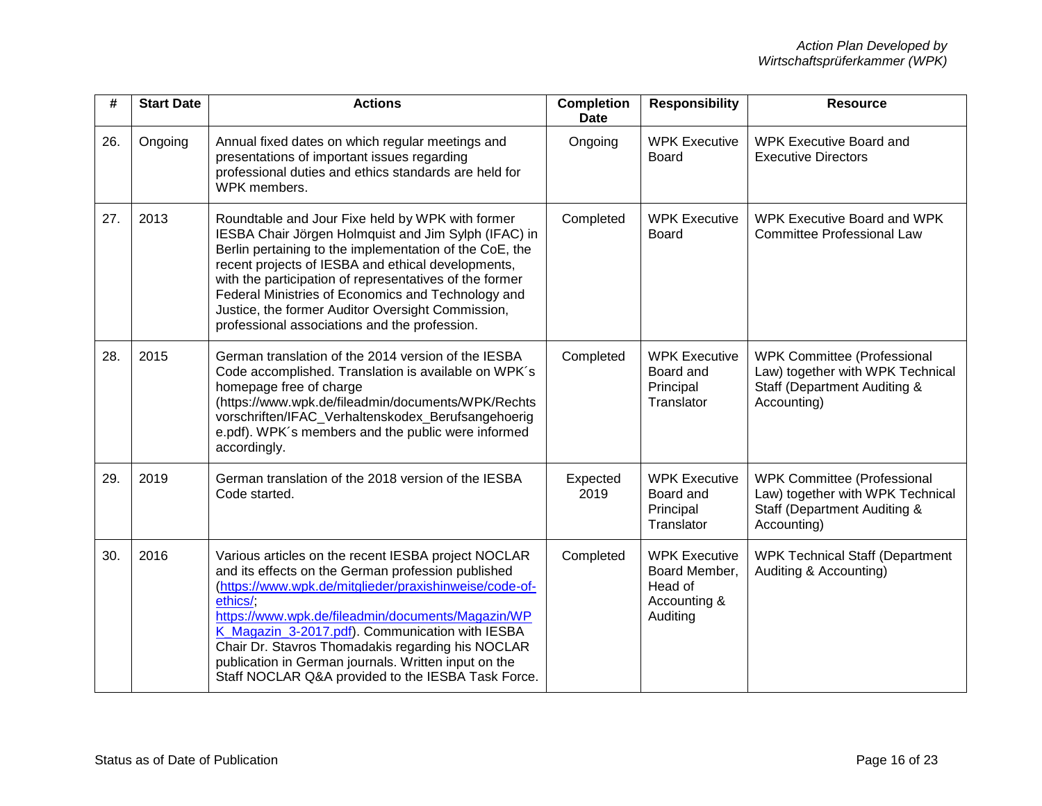| #   | <b>Start Date</b> | <b>Actions</b>                                                                                                                                                                                                                                                                                                                                                                                                                                             | <b>Completion</b><br><b>Date</b> | <b>Responsibility</b>                                                        | <b>Resource</b>                                                                                                                  |
|-----|-------------------|------------------------------------------------------------------------------------------------------------------------------------------------------------------------------------------------------------------------------------------------------------------------------------------------------------------------------------------------------------------------------------------------------------------------------------------------------------|----------------------------------|------------------------------------------------------------------------------|----------------------------------------------------------------------------------------------------------------------------------|
| 26. | Ongoing           | Annual fixed dates on which regular meetings and<br>presentations of important issues regarding<br>professional duties and ethics standards are held for<br>WPK members.                                                                                                                                                                                                                                                                                   | Ongoing                          | <b>WPK Executive</b><br><b>Board</b>                                         | <b>WPK Executive Board and</b><br><b>Executive Directors</b>                                                                     |
| 27. | 2013              | Roundtable and Jour Fixe held by WPK with former<br>IESBA Chair Jörgen Holmquist and Jim Sylph (IFAC) in<br>Berlin pertaining to the implementation of the CoE, the<br>recent projects of IESBA and ethical developments,<br>with the participation of representatives of the former<br>Federal Ministries of Economics and Technology and<br>Justice, the former Auditor Oversight Commission,<br>professional associations and the profession.           | Completed                        | <b>WPK Executive</b><br><b>Board</b>                                         | <b>WPK Executive Board and WPK</b><br><b>Committee Professional Law</b>                                                          |
| 28. | 2015              | German translation of the 2014 version of the IESBA<br>Code accomplished. Translation is available on WPK's<br>homepage free of charge<br>(https://www.wpk.de/fileadmin/documents/WPK/Rechts<br>vorschriften/IFAC_Verhaltenskodex_Berufsangehoerig<br>e.pdf). WPK's members and the public were informed<br>accordingly.                                                                                                                                   | Completed                        | <b>WPK Executive</b><br>Board and<br>Principal<br>Translator                 | <b>WPK Committee (Professional</b><br>Law) together with WPK Technical<br><b>Staff (Department Auditing &amp;</b><br>Accounting) |
| 29. | 2019              | German translation of the 2018 version of the IESBA<br>Code started.                                                                                                                                                                                                                                                                                                                                                                                       | Expected<br>2019                 | <b>WPK Executive</b><br>Board and<br>Principal<br>Translator                 | <b>WPK Committee (Professional</b><br>Law) together with WPK Technical<br><b>Staff (Department Auditing &amp;</b><br>Accounting) |
| 30. | 2016              | Various articles on the recent IESBA project NOCLAR<br>and its effects on the German profession published<br>(https://www.wpk.de/mitglieder/praxishinweise/code-of-<br>ethics/:<br>https://www.wpk.de/fileadmin/documents/Magazin/WP<br>K Magazin 3-2017.pdf). Communication with IESBA<br>Chair Dr. Stavros Thomadakis regarding his NOCLAR<br>publication in German journals. Written input on the<br>Staff NOCLAR Q&A provided to the IESBA Task Force. | Completed                        | <b>WPK Executive</b><br>Board Member,<br>Head of<br>Accounting &<br>Auditing | <b>WPK Technical Staff (Department</b><br>Auditing & Accounting)                                                                 |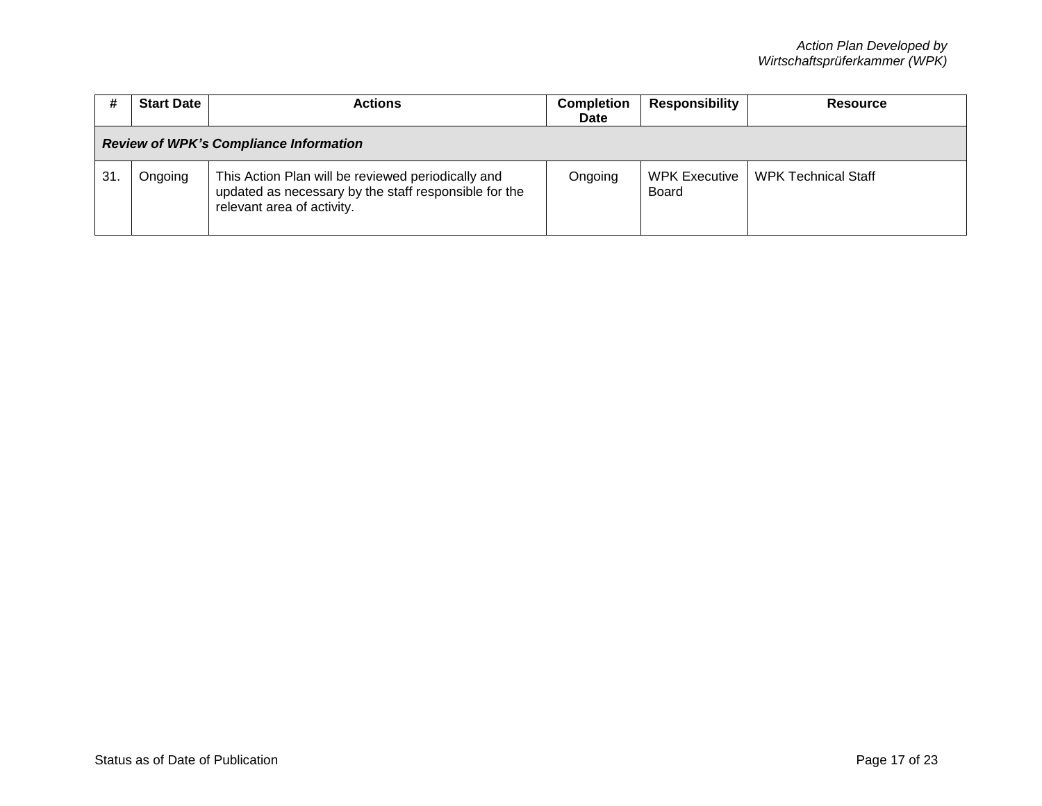|    | <b>Start Date</b>                             | <b>Actions</b>                                                                                                                            | <b>Completion</b><br><b>Date</b> | Responsibility           | Resource                   |  |
|----|-----------------------------------------------|-------------------------------------------------------------------------------------------------------------------------------------------|----------------------------------|--------------------------|----------------------------|--|
|    | <b>Review of WPK's Compliance Information</b> |                                                                                                                                           |                                  |                          |                            |  |
| 31 | Ongoing                                       | This Action Plan will be reviewed periodically and<br>updated as necessary by the staff responsible for the<br>relevant area of activity. | Ongoing                          | WPK Executive  <br>Board | <b>WPK Technical Staff</b> |  |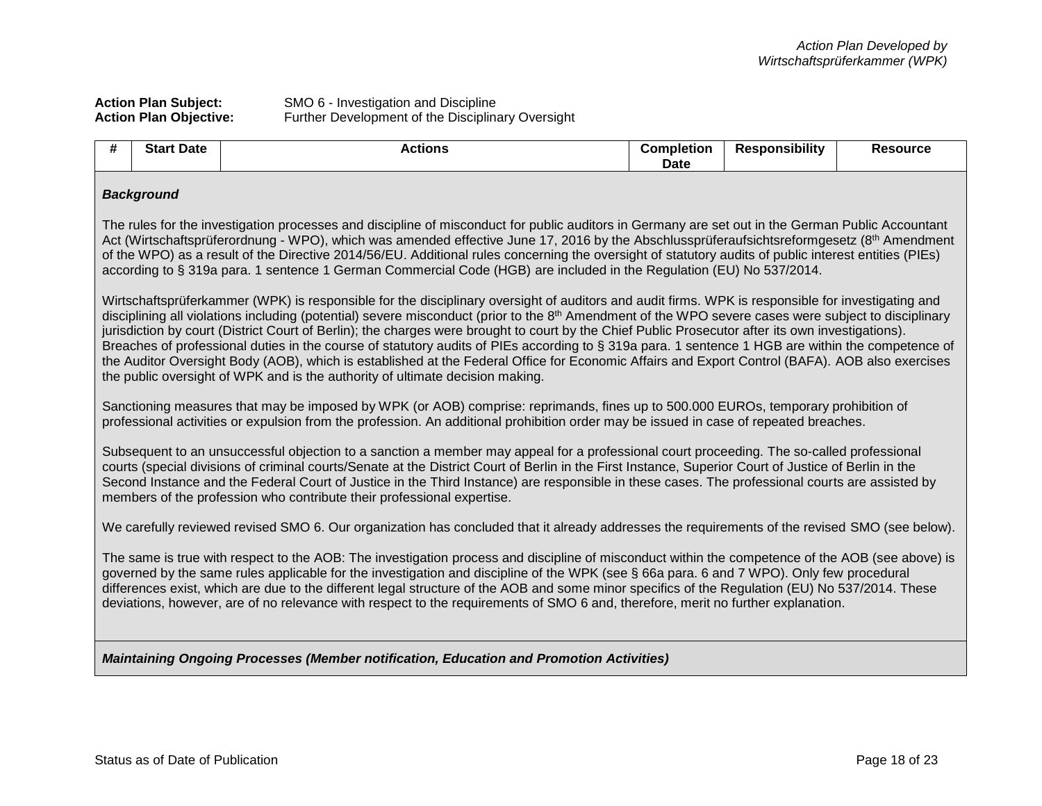# **Action Plan Subject:** SMO 6 - Investigation and Discipline **Action Plan Objective:** Further Development of the Disciplinary Oversight

| #                                                                                                                                                                                                                                                                                                                                                                                                                                                                                                                                                                                                                                                                                                                                                                                                                                                                   | <b>Start Date</b>                                                                                                                                                                                                                                                                                                                                                                                                                                                                                                                                                                   | <b>Actions</b>                                                                                                                                 | <b>Completion</b><br><b>Date</b> | <b>Responsibility</b> | <b>Resource</b> |  |
|---------------------------------------------------------------------------------------------------------------------------------------------------------------------------------------------------------------------------------------------------------------------------------------------------------------------------------------------------------------------------------------------------------------------------------------------------------------------------------------------------------------------------------------------------------------------------------------------------------------------------------------------------------------------------------------------------------------------------------------------------------------------------------------------------------------------------------------------------------------------|-------------------------------------------------------------------------------------------------------------------------------------------------------------------------------------------------------------------------------------------------------------------------------------------------------------------------------------------------------------------------------------------------------------------------------------------------------------------------------------------------------------------------------------------------------------------------------------|------------------------------------------------------------------------------------------------------------------------------------------------|----------------------------------|-----------------------|-----------------|--|
|                                                                                                                                                                                                                                                                                                                                                                                                                                                                                                                                                                                                                                                                                                                                                                                                                                                                     | <b>Background</b>                                                                                                                                                                                                                                                                                                                                                                                                                                                                                                                                                                   |                                                                                                                                                |                                  |                       |                 |  |
|                                                                                                                                                                                                                                                                                                                                                                                                                                                                                                                                                                                                                                                                                                                                                                                                                                                                     | The rules for the investigation processes and discipline of misconduct for public auditors in Germany are set out in the German Public Accountant<br>Act (Wirtschaftsprüferordnung - WPO), which was amended effective June 17, 2016 by the Abschlussprüferaufsichtsreformgesetz (8th Amendment<br>of the WPO) as a result of the Directive 2014/56/EU. Additional rules concerning the oversight of statutory audits of public interest entities (PIEs)<br>according to § 319a para. 1 sentence 1 German Commercial Code (HGB) are included in the Regulation (EU) No 537/2014.    |                                                                                                                                                |                                  |                       |                 |  |
| Wirtschaftsprüferkammer (WPK) is responsible for the disciplinary oversight of auditors and audit firms. WPK is responsible for investigating and<br>disciplining all violations including (potential) severe misconduct (prior to the 8 <sup>th</sup> Amendment of the WPO severe cases were subject to disciplinary<br>jurisdiction by court (District Court of Berlin); the charges were brought to court by the Chief Public Prosecutor after its own investigations).<br>Breaches of professional duties in the course of statutory audits of PIEs according to § 319a para. 1 sentence 1 HGB are within the competence of<br>the Auditor Oversight Body (AOB), which is established at the Federal Office for Economic Affairs and Export Control (BAFA). AOB also exercises<br>the public oversight of WPK and is the authority of ultimate decision making. |                                                                                                                                                                                                                                                                                                                                                                                                                                                                                                                                                                                     |                                                                                                                                                |                                  |                       |                 |  |
|                                                                                                                                                                                                                                                                                                                                                                                                                                                                                                                                                                                                                                                                                                                                                                                                                                                                     | Sanctioning measures that may be imposed by WPK (or AOB) comprise: reprimands, fines up to 500.000 EUROs, temporary prohibition of<br>professional activities or expulsion from the profession. An additional prohibition order may be issued in case of repeated breaches.                                                                                                                                                                                                                                                                                                         |                                                                                                                                                |                                  |                       |                 |  |
|                                                                                                                                                                                                                                                                                                                                                                                                                                                                                                                                                                                                                                                                                                                                                                                                                                                                     | Subsequent to an unsuccessful objection to a sanction a member may appeal for a professional court proceeding. The so-called professional<br>courts (special divisions of criminal courts/Senate at the District Court of Berlin in the First Instance, Superior Court of Justice of Berlin in the<br>Second Instance and the Federal Court of Justice in the Third Instance) are responsible in these cases. The professional courts are assisted by<br>members of the profession who contribute their professional expertise.                                                     |                                                                                                                                                |                                  |                       |                 |  |
|                                                                                                                                                                                                                                                                                                                                                                                                                                                                                                                                                                                                                                                                                                                                                                                                                                                                     |                                                                                                                                                                                                                                                                                                                                                                                                                                                                                                                                                                                     | We carefully reviewed revised SMO 6. Our organization has concluded that it already addresses the requirements of the revised SMO (see below). |                                  |                       |                 |  |
|                                                                                                                                                                                                                                                                                                                                                                                                                                                                                                                                                                                                                                                                                                                                                                                                                                                                     | The same is true with respect to the AOB: The investigation process and discipline of misconduct within the competence of the AOB (see above) is<br>governed by the same rules applicable for the investigation and discipline of the WPK (see § 66a para. 6 and 7 WPO). Only few procedural<br>differences exist, which are due to the different legal structure of the AOB and some minor specifics of the Regulation (EU) No 537/2014. These<br>deviations, however, are of no relevance with respect to the requirements of SMO 6 and, therefore, merit no further explanation. |                                                                                                                                                |                                  |                       |                 |  |
| Maintaining Ongoing Processes (Member notification, Education and Promotion Activities)                                                                                                                                                                                                                                                                                                                                                                                                                                                                                                                                                                                                                                                                                                                                                                             |                                                                                                                                                                                                                                                                                                                                                                                                                                                                                                                                                                                     |                                                                                                                                                |                                  |                       |                 |  |
|                                                                                                                                                                                                                                                                                                                                                                                                                                                                                                                                                                                                                                                                                                                                                                                                                                                                     |                                                                                                                                                                                                                                                                                                                                                                                                                                                                                                                                                                                     |                                                                                                                                                |                                  |                       |                 |  |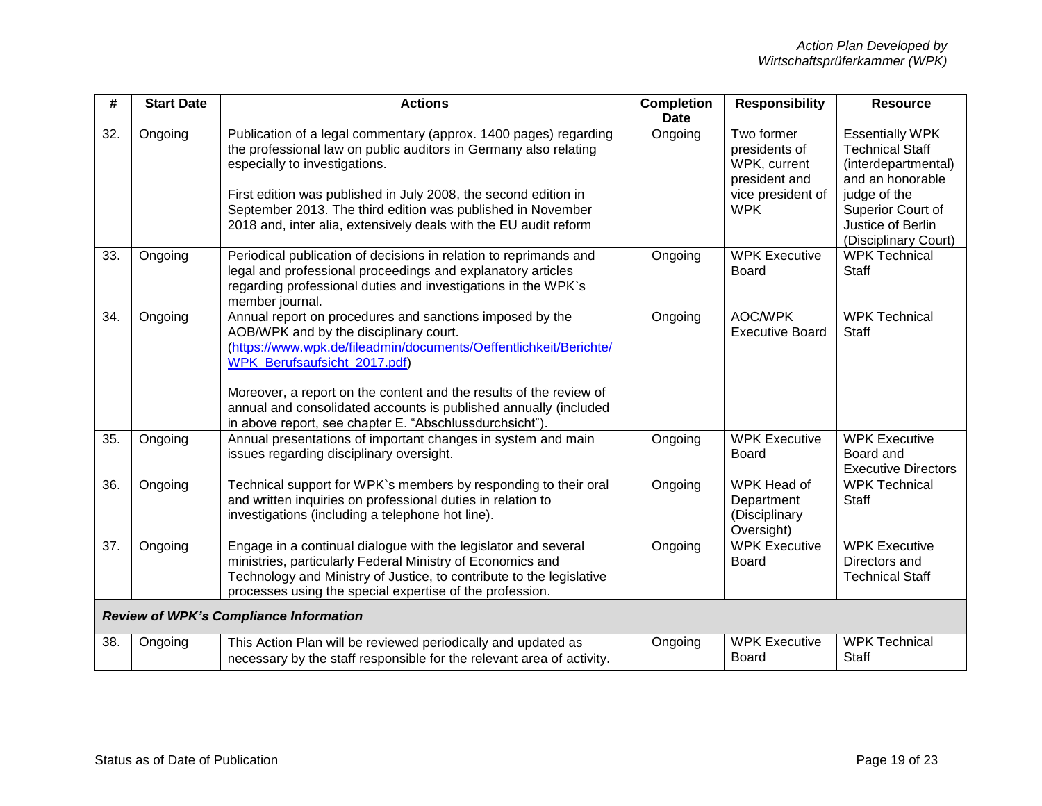| #   | <b>Start Date</b> | <b>Actions</b>                                                                                                                                                                                                                                                                                                                                                                                               | <b>Completion</b><br><b>Date</b> | <b>Responsibility</b>                                                                           | <b>Resource</b>                                                                                                                                                               |
|-----|-------------------|--------------------------------------------------------------------------------------------------------------------------------------------------------------------------------------------------------------------------------------------------------------------------------------------------------------------------------------------------------------------------------------------------------------|----------------------------------|-------------------------------------------------------------------------------------------------|-------------------------------------------------------------------------------------------------------------------------------------------------------------------------------|
| 32. | Ongoing           | Publication of a legal commentary (approx. 1400 pages) regarding<br>the professional law on public auditors in Germany also relating<br>especially to investigations.<br>First edition was published in July 2008, the second edition in<br>September 2013. The third edition was published in November<br>2018 and, inter alia, extensively deals with the EU audit reform                                  | Ongoing                          | Two former<br>presidents of<br>WPK, current<br>president and<br>vice president of<br><b>WPK</b> | <b>Essentially WPK</b><br><b>Technical Staff</b><br>(interdepartmental)<br>and an honorable<br>judge of the<br>Superior Court of<br>Justice of Berlin<br>(Disciplinary Court) |
| 33. | Ongoing           | Periodical publication of decisions in relation to reprimands and<br>legal and professional proceedings and explanatory articles<br>regarding professional duties and investigations in the WPK's<br>member journal.                                                                                                                                                                                         | Ongoing                          | <b>WPK Executive</b><br><b>Board</b>                                                            | <b>WPK Technical</b><br><b>Staff</b>                                                                                                                                          |
| 34. | Ongoing           | Annual report on procedures and sanctions imposed by the<br>AOB/WPK and by the disciplinary court.<br>(https://www.wpk.de/fileadmin/documents/Oeffentlichkeit/Berichte/<br>WPK_Berufsaufsicht_2017.pdf)<br>Moreover, a report on the content and the results of the review of<br>annual and consolidated accounts is published annually (included<br>in above report, see chapter E. "Abschlussdurchsicht"). | Ongoing                          | <b>AOC/WPK</b><br><b>Executive Board</b>                                                        | <b>WPK Technical</b><br><b>Staff</b>                                                                                                                                          |
| 35. | Ongoing           | Annual presentations of important changes in system and main<br>issues regarding disciplinary oversight.                                                                                                                                                                                                                                                                                                     | Ongoing                          | <b>WPK Executive</b><br><b>Board</b>                                                            | <b>WPK Executive</b><br>Board and<br><b>Executive Directors</b>                                                                                                               |
| 36. | Ongoing           | Technical support for WPK's members by responding to their oral<br>and written inquiries on professional duties in relation to<br>investigations (including a telephone hot line).                                                                                                                                                                                                                           | Ongoing                          | WPK Head of<br>Department<br>(Disciplinary<br>Oversight)                                        | <b>WPK Technical</b><br><b>Staff</b>                                                                                                                                          |
| 37. | Ongoing           | Engage in a continual dialogue with the legislator and several<br>ministries, particularly Federal Ministry of Economics and<br>Technology and Ministry of Justice, to contribute to the legislative<br>processes using the special expertise of the profession.                                                                                                                                             | Ongoing                          | <b>WPK</b> Executive<br><b>Board</b>                                                            | <b>WPK Executive</b><br>Directors and<br><b>Technical Staff</b>                                                                                                               |
|     |                   | Review of WPK's Compliance Information                                                                                                                                                                                                                                                                                                                                                                       |                                  |                                                                                                 |                                                                                                                                                                               |
| 38. | Ongoing           | This Action Plan will be reviewed periodically and updated as<br>necessary by the staff responsible for the relevant area of activity.                                                                                                                                                                                                                                                                       | Ongoing                          | <b>WPK Executive</b><br><b>Board</b>                                                            | <b>WPK Technical</b><br><b>Staff</b>                                                                                                                                          |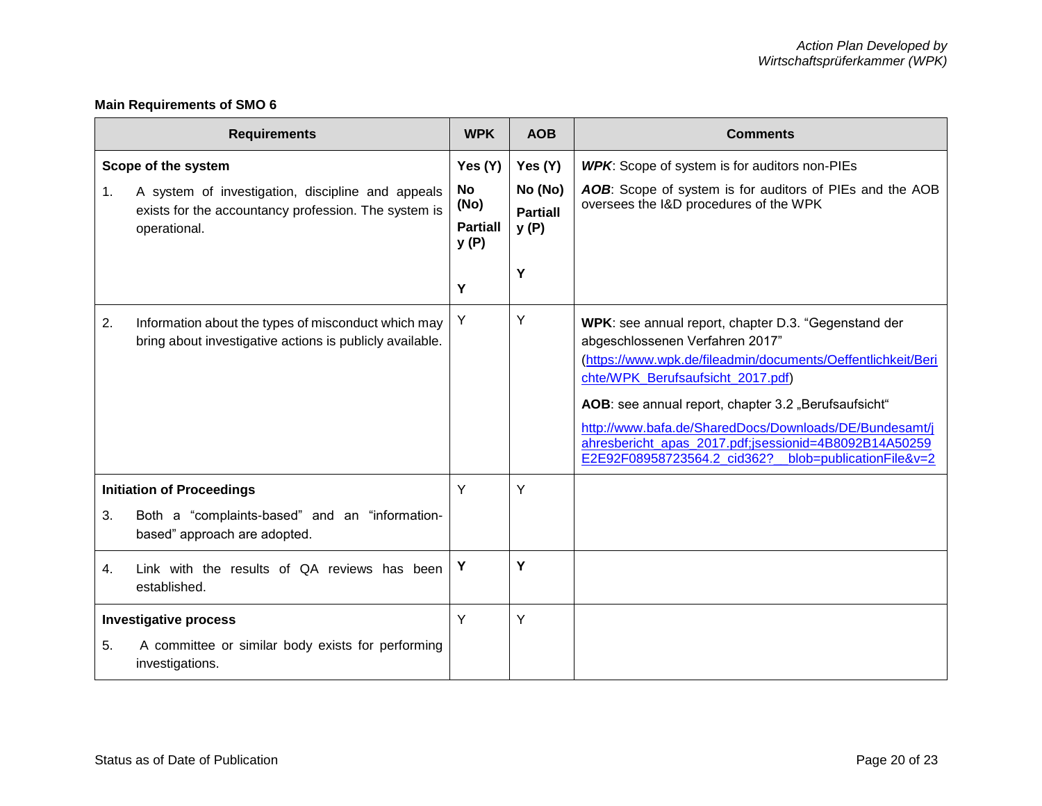# **Main Requirements of SMO 6**

| <b>Requirements</b>                                                                                        |                                                                                                                                                  |                                                              | <b>AOB</b>                                         | <b>Comments</b>                                                                                                                                                                                                                                                                                                                                                                                                                    |
|------------------------------------------------------------------------------------------------------------|--------------------------------------------------------------------------------------------------------------------------------------------------|--------------------------------------------------------------|----------------------------------------------------|------------------------------------------------------------------------------------------------------------------------------------------------------------------------------------------------------------------------------------------------------------------------------------------------------------------------------------------------------------------------------------------------------------------------------------|
| 1.                                                                                                         | Scope of the system<br>A system of investigation, discipline and appeals<br>exists for the accountancy profession. The system is<br>operational. | Yes (Y)<br><b>No</b><br>(No)<br><b>Partiall</b><br>y(P)<br>Y | Yes (Y)<br>No (No)<br><b>Partiall</b><br>y(P)<br>Y | <b>WPK:</b> Scope of system is for auditors non-PIEs<br>AOB: Scope of system is for auditors of PIEs and the AOB<br>oversees the I&D procedures of the WPK                                                                                                                                                                                                                                                                         |
| 2.                                                                                                         | Information about the types of misconduct which may<br>bring about investigative actions is publicly available.                                  | Υ                                                            | Υ                                                  | WPK: see annual report, chapter D.3. "Gegenstand der<br>abgeschlossenen Verfahren 2017"<br>(https://www.wpk.de/fileadmin/documents/Oeffentlichkeit/Beri<br>chte/WPK_Berufsaufsicht_2017.pdf)<br>AOB: see annual report, chapter 3.2 "Berufsaufsicht"<br>http://www.bafa.de/SharedDocs/Downloads/DE/Bundesamt/j<br>ahresbericht_apas_2017.pdf;jsessionid=4B8092B14A50259<br>blob=publicationFile&v=2<br>E2E92F08958723564.2_cid362? |
| 3.                                                                                                         | <b>Initiation of Proceedings</b><br>Both a "complaints-based" and an "information-<br>based" approach are adopted.                               | Y                                                            | Y                                                  |                                                                                                                                                                                                                                                                                                                                                                                                                                    |
| 4.                                                                                                         | Link with the results of QA reviews has been<br>established.                                                                                     | Y                                                            | Y                                                  |                                                                                                                                                                                                                                                                                                                                                                                                                                    |
| <b>Investigative process</b><br>5.<br>A committee or similar body exists for performing<br>investigations. |                                                                                                                                                  | Y                                                            | Y                                                  |                                                                                                                                                                                                                                                                                                                                                                                                                                    |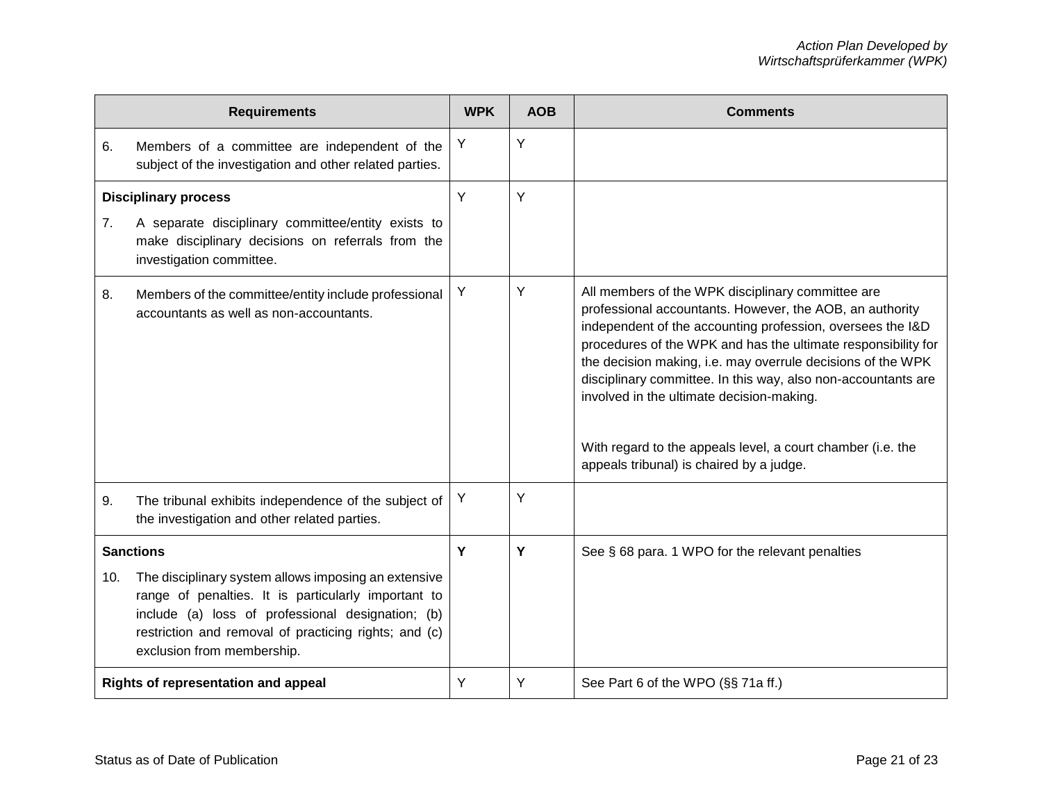| <b>Requirements</b> |                                                                                                                                                                                                                                                         |   | <b>AOB</b> | <b>Comments</b>                                                                                                                                                                                                                                                                                                                                                                                                                                                                                                                      |
|---------------------|---------------------------------------------------------------------------------------------------------------------------------------------------------------------------------------------------------------------------------------------------------|---|------------|--------------------------------------------------------------------------------------------------------------------------------------------------------------------------------------------------------------------------------------------------------------------------------------------------------------------------------------------------------------------------------------------------------------------------------------------------------------------------------------------------------------------------------------|
| 6.                  | Members of a committee are independent of the<br>subject of the investigation and other related parties.                                                                                                                                                | Y | Υ          |                                                                                                                                                                                                                                                                                                                                                                                                                                                                                                                                      |
|                     | <b>Disciplinary process</b>                                                                                                                                                                                                                             | Y | Y          |                                                                                                                                                                                                                                                                                                                                                                                                                                                                                                                                      |
| 7 <sub>1</sub>      | A separate disciplinary committee/entity exists to<br>make disciplinary decisions on referrals from the<br>investigation committee.                                                                                                                     |   |            |                                                                                                                                                                                                                                                                                                                                                                                                                                                                                                                                      |
| 8.                  | Members of the committee/entity include professional<br>accountants as well as non-accountants.                                                                                                                                                         | Y | Y          | All members of the WPK disciplinary committee are<br>professional accountants. However, the AOB, an authority<br>independent of the accounting profession, oversees the I&D<br>procedures of the WPK and has the ultimate responsibility for<br>the decision making, i.e. may overrule decisions of the WPK<br>disciplinary committee. In this way, also non-accountants are<br>involved in the ultimate decision-making.<br>With regard to the appeals level, a court chamber (i.e. the<br>appeals tribunal) is chaired by a judge. |
| 9.                  | The tribunal exhibits independence of the subject of<br>the investigation and other related parties.                                                                                                                                                    | Y | Y          |                                                                                                                                                                                                                                                                                                                                                                                                                                                                                                                                      |
| <b>Sanctions</b>    |                                                                                                                                                                                                                                                         | Y | Y          | See § 68 para. 1 WPO for the relevant penalties                                                                                                                                                                                                                                                                                                                                                                                                                                                                                      |
| 10.                 | The disciplinary system allows imposing an extensive<br>range of penalties. It is particularly important to<br>include (a) loss of professional designation; (b)<br>restriction and removal of practicing rights; and (c)<br>exclusion from membership. |   |            |                                                                                                                                                                                                                                                                                                                                                                                                                                                                                                                                      |
|                     | Rights of representation and appeal                                                                                                                                                                                                                     | Y | Y          | See Part 6 of the WPO (§§ 71a ff.)                                                                                                                                                                                                                                                                                                                                                                                                                                                                                                   |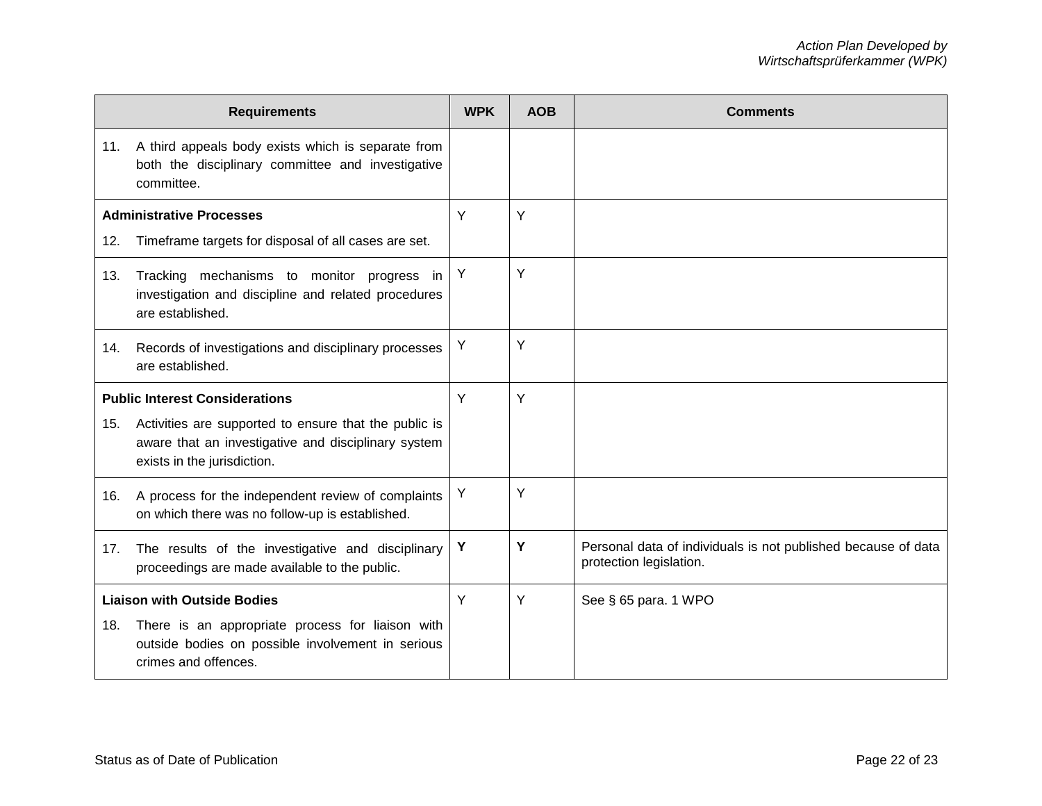| <b>Requirements</b> |                                                                                                                                             |   | <b>AOB</b> | <b>Comments</b>                                                                          |
|---------------------|---------------------------------------------------------------------------------------------------------------------------------------------|---|------------|------------------------------------------------------------------------------------------|
|                     | 11. A third appeals body exists which is separate from<br>both the disciplinary committee and investigative<br>committee.                   |   |            |                                                                                          |
|                     | <b>Administrative Processes</b>                                                                                                             | Y | Y          |                                                                                          |
| 12.                 | Timeframe targets for disposal of all cases are set.                                                                                        |   |            |                                                                                          |
| 13.                 | Tracking mechanisms to monitor progress in<br>investigation and discipline and related procedures<br>are established.                       | Υ | Y          |                                                                                          |
| 14.                 | Records of investigations and disciplinary processes<br>are established.                                                                    | Y | Y          |                                                                                          |
|                     | <b>Public Interest Considerations</b>                                                                                                       | Y | Y          |                                                                                          |
| 15.                 | Activities are supported to ensure that the public is<br>aware that an investigative and disciplinary system<br>exists in the jurisdiction. |   |            |                                                                                          |
|                     | 16. A process for the independent review of complaints<br>on which there was no follow-up is established.                                   | Y | Y          |                                                                                          |
| 17.                 | The results of the investigative and disciplinary<br>proceedings are made available to the public.                                          | Υ | Y          | Personal data of individuals is not published because of data<br>protection legislation. |
|                     | <b>Liaison with Outside Bodies</b>                                                                                                          | Y | Y          | See § 65 para. 1 WPO                                                                     |
| 18.                 | There is an appropriate process for liaison with<br>outside bodies on possible involvement in serious<br>crimes and offences.               |   |            |                                                                                          |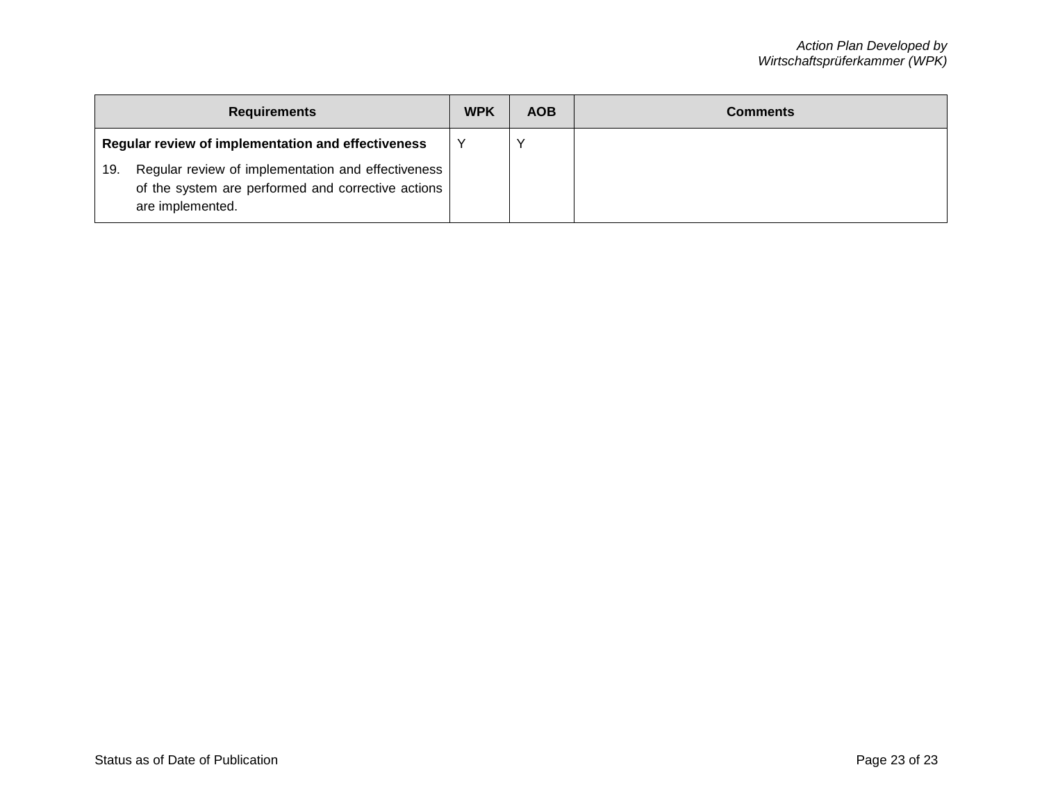| <b>Requirements</b>                                                                                                                   |  | <b>AOB</b> | Comments |
|---------------------------------------------------------------------------------------------------------------------------------------|--|------------|----------|
| Regular review of implementation and effectiveness                                                                                    |  |            |          |
| Regular review of implementation and effectiveness<br>19.<br>of the system are performed and corrective actions  <br>are implemented. |  |            |          |